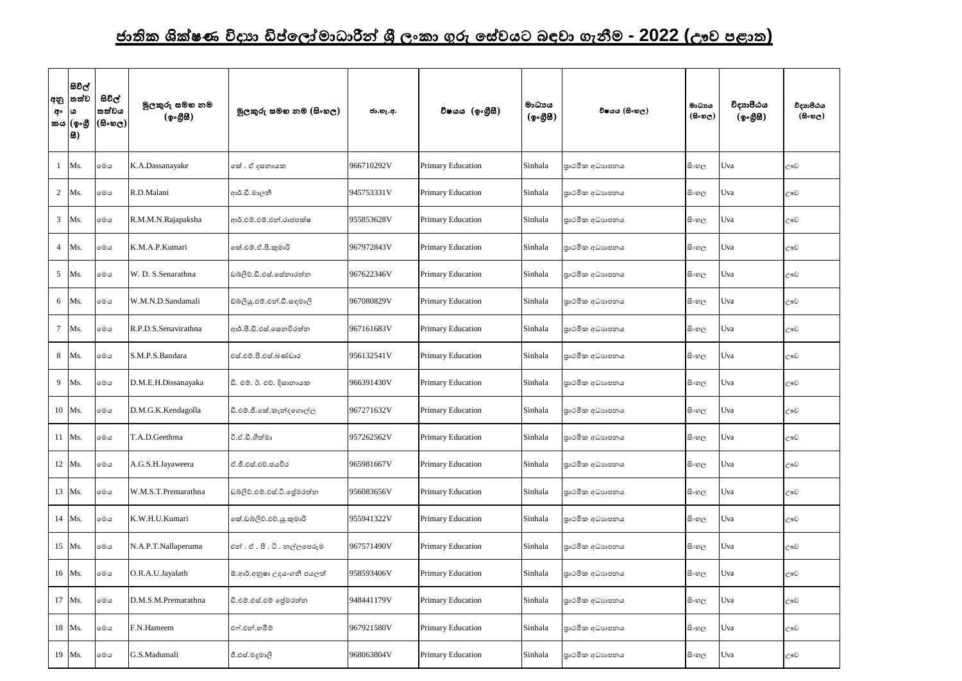## <u>ජාතික ශික්ෂණ විදාහ ඩිප්ලෝමාධාරීන් ශී ලංකා ගුරු සේවයට බඳවා ගැනීම - 2022 (ඌව පළාත)</u>

| අනු<br>අ∘       | යිවිල්<br> තත්ව<br>ය<br>කය (ඉංගී<br>8) | සිවිල්<br>තත්වය<br>$(\mathbb{S}\circ\mathfrak{v}_\mathbb{C})$ | මුලකුරු සමහ නම<br>(ඉංගීසි) | මූලකුරු සමහ නම (සිංහල)      | ජා.හැ.අ.   | විෂයය (ඉංගීසී)           | මාධායය<br>(ඉංගීසී) | විෂයය (සිංහල)  | මාධායය<br>$(B \circ \omega_C)$ | විදාහපීඨය<br>(ඉංගීසී) | විදාහපීඨය<br>$($ සිංහල) |
|-----------------|----------------------------------------|---------------------------------------------------------------|----------------------------|-----------------------------|------------|--------------------------|--------------------|----------------|--------------------------------|-----------------------|-------------------------|
|                 | Ms.                                    | මෙය                                                           | K.A.Dassanayake            | කේ . ඒ දසනායක               | 966710292V | <b>Primary Education</b> | Sinhala            | පාථමික අධාහපනය | සිංහල                          | Uva                   | ඌව                      |
| 2               | Ms.                                    | මෙය                                                           | R.D.Malani                 | ආර්.ඩී.මාලනී                | 945753331V | <b>Primary Education</b> | Sinhala            | පාථමික අධාහපනය | සි∘හල                          | Uva                   | ඌව                      |
| $\mathfrak{Z}$  | Ms.                                    | මෙය                                                           | R.M.M.N.Rajapaksha         | ආර්.එම්.එම්.එන්.රාජපක්ෂ     | 955853628V | <b>Primary Education</b> | Sinhala            | පාථමික අධාහපනය | සි∘හල                          | Uva                   | ඌව                      |
| $\overline{4}$  | Ms.                                    | මෙය                                                           | K.M.A.P.Kumari             | කේ.එම්.ඒ.පී.කුමාරි          | 967972843V | <b>Primary Education</b> | Sinhala            | පාථමික අධාහපනය | සි∘හල                          | Uva                   | ඌව                      |
| $5\overline{)}$ | Ms.                                    | මෙය                                                           | W. D. S.Senarathna         | ඩබ්ලිව්.ඩී.එස්.සේනාරත්න     | 967622346V | <b>Primary Education</b> | Sinhala            | පාථමික අධාහපනය | සි∘හල                          | Uva                   | ඌව                      |
| 6               | Ms.                                    | මෙය                                                           | W.M.N.D.Sandamali          | ඩ්බ්ලියු.එම්.එන්.ඩී.සඳමාලි  | 967080829V | <b>Primary Education</b> | Sinhala            | පාථමික අධාහපනය | සි∘හල                          | Uva                   | ඌව                      |
| 7               | Ms.                                    | මෙය                                                           | R.P.D.S.Senavirathna       | ආර්.පී.ඩී.එස්.සෙනවිරත්න     | 967161683V | <b>Primary Education</b> | Sinhala            | පාථමික අධාහපනය | සි∘හල                          | Uva                   | ඌව                      |
| 8               | Ms.                                    | මෙය                                                           | S.M.P.S.Bandara            | එස්.එම්.පී.එස්.බණ්ඩාර       | 956132541V | <b>Primary Education</b> | Sinhala            | පාථමික අධාහපනය | සි∘හල                          | Uva                   | ඌව                      |
| 9               | Ms.                                    | මෙය                                                           | D.M.E.H.Dissanayaka        | ඩී. එම්. ඊ. එච්. දිසානායක   | 966391430V | <b>Primary Education</b> | Sinhala            | පාථමික අධාහපනය | සි∘හල                          | Uva                   | ඌව                      |
|                 | 10 Ms.                                 | මෙය                                                           | D.M.G.K.Kendagolla         | ඩී.එම්.ජී.කේ.කැන්දගොල්ල     | 967271632V | <b>Primary Education</b> | Sinhala            | පාථමික අධාහපනය | සි∘හල                          | Uva                   | ඌව                      |
|                 | 11 Ms.                                 | මෙය                                                           | T.A.D.Geethma              | ටී.ඒ.ඩී.ගීත්මා              | 957262562V | Primary Education        | Sinhala            | පාථමික අධාහපනය | සි∘හල                          | Uva                   | ඌව                      |
|                 | 12 Ms.                                 | මෙය                                                           | A.G.S.H.Jayaweera          | ඒ.ජී.එස්.එච්.ජයවීර          | 965981667V | <b>Primary Education</b> | Sinhala            | පාථමික අධාහපනය | සි∘හල                          | Uva                   | ඌව                      |
|                 | 13 Ms.                                 | මෙය                                                           | W.M.S.T.Premarathna        | ඩබ්ලිව්.එම්.එස්.ටී. ජුමරත්න | 956083656V | <b>Primary Education</b> | Sinhala            | පාථමික අධාහපනය | සි∘හල                          | Uva                   | ඌව                      |
|                 | 14 Ms.                                 | මෙය                                                           | K.W.H.U.Kumari             | කේ.ඩබ්ලිව්.එච්.යූ.කුමාරි    | 955941322V | <b>Primary Education</b> | Sinhala            | පාථමික අධාහපනය | සි∘හල                          | Uva                   | ඌව                      |
|                 | 15 Ms.                                 | මෙය                                                           | N.A.P.T.Nallaperuma        | එන්. ඒ. පී. ටී. නල්ලපෙරුම   | 967571490V | <b>Primary Education</b> | Sinhala            | පාථමික අධාහපනය | සි∘හල                          | Uva                   | ඌව                      |
|                 | 16 Ms.                                 | මෙය                                                           | O.R.A.U.Jayalath           | ඕ.ආර්.අනුෂා උදයංගනී ජයලත්   | 958593406V | <b>Primary Education</b> | Sinhala            | පාථමික අධාහපනය | සි∘හල                          | Uva                   | ඌව                      |
|                 | 17 Ms.                                 | මෙය                                                           | D.M.S.M.Premarathna        | ඩී.එම්.එස්.එම් ජේමරත්න      | 948441179V | <b>Primary Education</b> | Sinhala            | පාථමික අධාහපනය | සි∘හල                          | Uva                   | ඌව                      |
|                 | 18 Ms.                                 | මෙය                                                           | F.N.Hameem                 | එෆ්.එන්.හමීම්               | 967921580V | <b>Primary Education</b> | Sinhala            | පාථමික අධාහපනය | සි∘හල                          | Uva                   | ඌව                      |
|                 | 19 Ms.                                 | මෙය                                                           | G.S.Madumali               | ජී.එස්.මදුමාලි              | 968063804V | <b>Primary Education</b> | Sinhala            | පාථමික අධාහපනය | සි∘හල                          | Uva                   | ඌව                      |

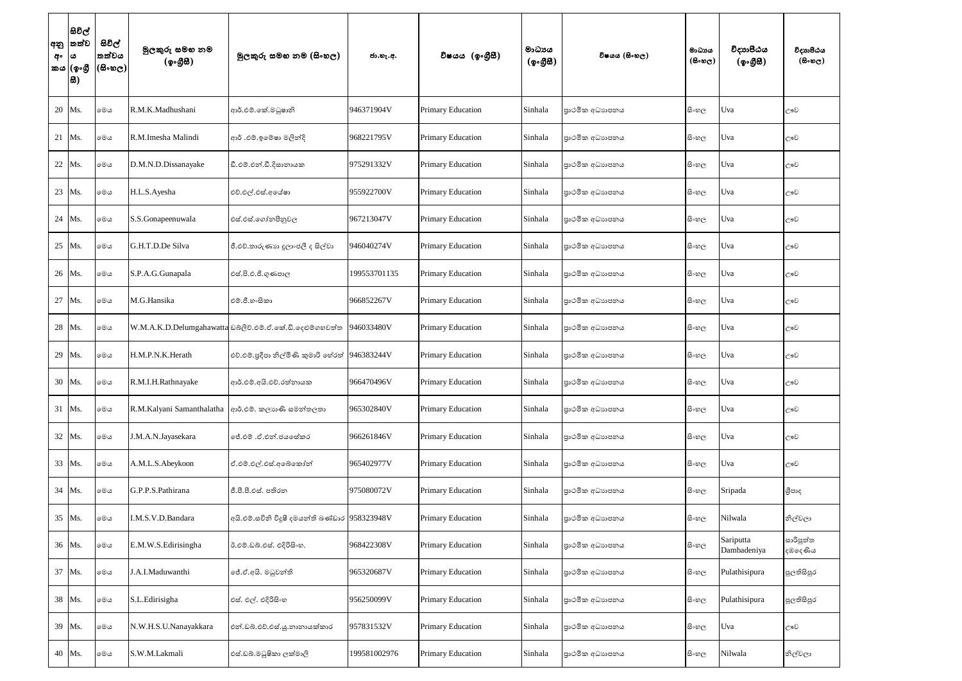| අනු<br>අං | සිවිල්<br> තත්ව<br>ය<br>කය (ඉංගී<br> සි) | සිවිල්<br>තත්වය<br>$(\mathbb{B}\circ\mathfrak{v}_\mathbb{C})$ | මුලකුරු සමහ නම<br>(ඉංගීසී) | මූලකුරු සමහ නම (සිංහල)                                    | ජා.හැ.අ.     | විෂයය (ඉංගීුසී)          | මාධායය<br>(ඉංගීසී) | විෂයය (සිංහල)   | මාධාය<br>$(B \circ \mathfrak{v}_C)$ | විදාාාපීඨය<br>(ඉංගුිසි)  | විදාහපීඨය<br>(5.5)   |
|-----------|------------------------------------------|---------------------------------------------------------------|----------------------------|-----------------------------------------------------------|--------------|--------------------------|--------------------|-----------------|-------------------------------------|--------------------------|----------------------|
|           | 20 Ms.                                   | මෙය                                                           | R.M.K.Madhushani           | ආර්.එම්.කේ.මධුෂානි                                        | 946371904V   | <b>Primary Education</b> | Sinhala            | පාථමික අධාහපනය  | සි∘හල                               | Uva                      | ඌව                   |
|           | 21 Ms.                                   | මෙය                                                           | R.M.Imesha Malindi         | ආර් .එම්.ඉමේෂා මලින්දි                                    | 968221795V   | <b>Primary Education</b> | Sinhala            | පාථමික අධාහපනය  | සිංහල                               | Uva                      | ඌව                   |
| 22        | Ms.                                      | මෙය                                                           | D.M.N.D.Dissanayake        | ඩී.එම්.එන්.ඩී.දිසානායක                                    | 975291332V   | <b>Primary Education</b> | Sinhala            | පාථමික අධාහපනය  | සි∘හල                               | Uva                      | ඌව                   |
| 23        | Ms.                                      | මෙය                                                           | H.L.S.Ayesha               | එච්.එල්.එස්.අයේෂා                                         | 955922700V   | <b>Primary Education</b> | Sinhala            | පුාථමික අධාහපනය | සි∘හල                               | Uva                      | ඌව                   |
|           | 24 Ms.                                   | මෙය                                                           | S.S.Gonapeenuwala          | එස්.එස්.ගෝනපීනුවල                                         | 967213047V   | <b>Primary Education</b> | Sinhala            | පාථමික අධාහපනය  | සි∘හල                               | Uva                      | ඌව                   |
| 25        | Ms.                                      | මෙය                                                           | G.H.T.D.De Silva           | ජී.එච්.තාරුණාහ දූලාංජලී ද සිල්වා                          | 946040274V   | <b>Primary Education</b> | Sinhala            | පාථමික අධාහපනය  | සිංහල                               | Uva                      | ඌව                   |
|           | 26 Ms.                                   | මෙය                                                           | S.P.A.G.Gunapala           | එස්.පි.එ.ජී.ගුණපාල                                        | 199553701135 | <b>Primary Education</b> | Sinhala            | පාථමික අධාහපනය  | සි∘හල                               | Uva                      | ඌව                   |
| 27        | Ms.                                      | මෙය                                                           | M.G.Hansika                | එම්.ජී.හංසිකා                                             | 966852267V   | <b>Primary Education</b> | Sinhala            | පාථමික අධාහපනය  | සි∘හල                               | Uva                      | ඌව                   |
| 28        | Ms.                                      | මෙය                                                           |                            | W.M.A.K.D.Delumgahawatta ඩබ්ලිව්.එම්.ඒ.කේ.ඩි.දෙළුම්ගහවත්ත | 946033480V   | <b>Primary Education</b> | Sinhala            | පාථමික අධාහපනය  | සි∘හල                               | Uva                      | ඌව                   |
|           | 29 Ms.                                   | මෙය                                                           | H.M.P.N.K.Herath           | එච්.එම්.පුදීපා නිල්මිණි කුමාරි හේරත් 946383244V           |              | <b>Primary Education</b> | Sinhala            | පාථමික අධාහපනය  | සි∘හල                               | Uva                      | ඌව                   |
|           | 30 Ms.                                   | මෙය                                                           | R.M.I.H.Rathnayake         | ආර්.එම්.අයි.එච්.රත්නායක                                   | 966470496V   | <b>Primary Education</b> | Sinhala            | පාථමික අධාහපනය  | සි∘හල                               | Uva                      | ඌව                   |
|           | 31 Ms.                                   | මෙය                                                           | R.M.Kalyani Samanthalatha  | ආර්.එම්. කලාහණි සමන්තලතා                                  | 965302840V   | <b>Primary Education</b> | Sinhala            | පාථමික අධාහපනය  | සිංහල                               | Uva                      | ඌව                   |
|           | 32 Ms.                                   | මෙය                                                           | J.M.A.N.Jayasekara         | ්පේ.එම් .ඒ.එන්.ජයසේකර                                     | 966261846V   | Primary Education        | Sinhala            | පාථමික අධාහපනය  | සි∘හල                               | Uva                      | ඌව                   |
|           | 33 Ms.                                   | මෙය                                                           | A.M.L.S.Abeykoon           | ඒ.එම්.එල්.එස්.අබේකෝන්                                     | 965402977V   | <b>Primary Education</b> | Sinhala            | පාථමික අධාහපනය  | සි∘හල                               | Uva                      | ඌව                   |
|           | 34 Ms.                                   | මෙය                                                           | G.P.P.S.Pathirana          | ජී.පී.පී.එස්. පතිරත                                       | 975080072V   | <b>Primary Education</b> | Sinhala            | පාථමික අධාහපනය  | සි∘හල                               | Sripada                  | ශීපාද                |
|           | 35 Ms.                                   | මෙය                                                           | I.M.S.V.D.Bandara          | අයි.එම්.සචිනි විදූෂී දමයන්ති බණ්ඩාර 958323948V            |              | <b>Primary Education</b> | Sinhala            | පාථමික අධාහපනය  | සි∘හල                               | Nilwala                  | නිල්වලා              |
|           | 36 Ms.                                   | මෙය                                                           | E.M.W.S.Edirisingha        | ඊ.එම්.ඩබ්.එස්. එදිරිසිංහ.                                 | 968422308V   | <b>Primary Education</b> | Sinhala            | පාථමික අධාහපනය  | සි∘හල                               | Sariputta<br>Dambadeniya | සාරිපුත්ත<br>දඹදෙණිය |
|           | 37 Ms.                                   | මෙය                                                           | J.A.I.Maduwanthi           | ්රී.ඒ.අයි. මධුවන්ති                                       | 965320687V   | Primary Education        | Sinhala            | පුාථමික අධාහපනය | සි∘හල                               | Pulathisipura            | පුලතිසිපුර           |
|           | 38 Ms.                                   | මෙය                                                           | S.L.Edirisigha             | එස්. එල්. එදිරිසිංහ                                       | 956250099V   | <b>Primary Education</b> | Sinhala            | පාථමික අධාහපනය  | සි∘හල                               | Pulathisipura            | පුලතිසිපුර           |
|           | 39 Ms.                                   | මෙය                                                           | N.W.H.S.U.Nanayakkara      | එන්.ඩබ්.එච්.එස්.යූ.නානායක්කාර                             | 957831532V   | Primary Education        | Sinhala            | පාථමික අධාහපනය  | සි∘හල                               | Uva                      | ඌව                   |
|           | 40 Ms.                                   | මෙය                                                           | S.W.M.Lakmali              | එස්.ඩබ්.මධුෂිකා ලක්මාලි                                   | 199581002976 | <b>Primary Education</b> | Sinhala            | පාථමික අධාහපනය  | සි∘හල                               | Nilwala                  | නිල්වලා              |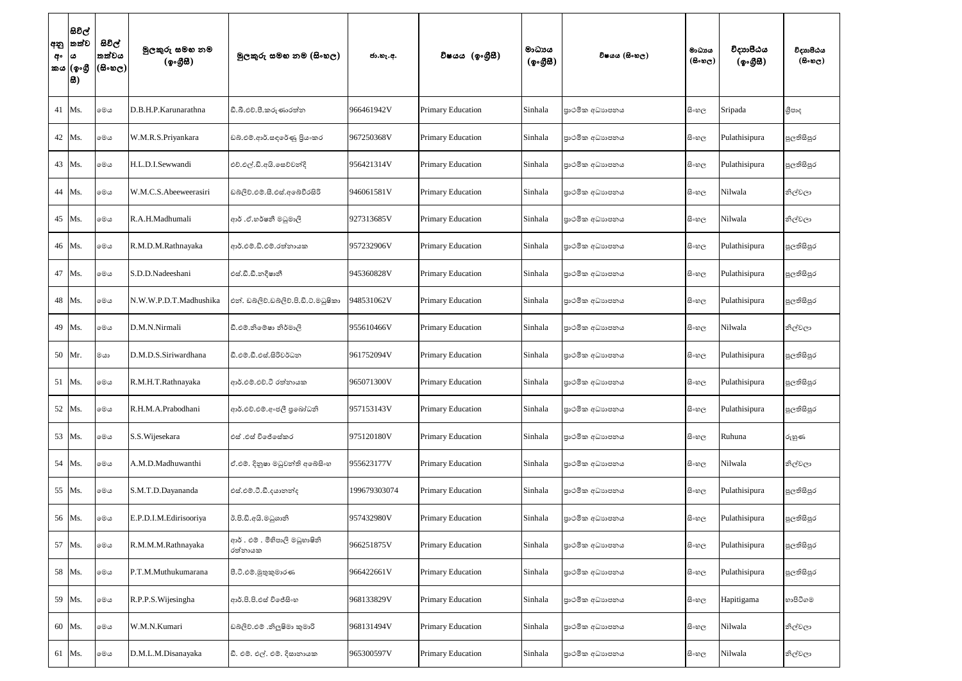| අනු<br>අං | සිවිල්<br>තත්ව<br>ය<br>කය (ඉංගුී<br> සි) | සිවිල්<br>තත්වය<br>(සිංහල) | මුලකුරු සමහ නම<br>(ඉංගීසී) | මූලකුරු සමහ නම (සිංහල)                    | ජා.හැ.අ.     | විෂයය (ඉංගීසී)           | මාධායය<br>(ඉංගීසි) | විෂයය (සිංහල)   | මාධාය<br>$(B \circ \omega_C)$ | විදාහපීඨය<br>(ඉංගුිසි) | විදාහපීඨය<br>$(B \circ \circledcirc_C)$ |
|-----------|------------------------------------------|----------------------------|----------------------------|-------------------------------------------|--------------|--------------------------|--------------------|-----------------|-------------------------------|------------------------|-----------------------------------------|
|           | 41 Ms.                                   | මෙය                        | D.B.H.P.Karunarathna       | ඩී.බී.එච්.පී.කරුණාරත්න                    | 966461942V   | <b>Primary Education</b> | Sinhala            | පාථමික අධාහපනය  | සි∘හල                         | Sripada                | ශීපාද                                   |
|           | 42 Ms.                                   | මෙය                        | W.M.R.S.Priyankara         | ඩබ්.එම්.ආර්.සඳරේණු පියංකර                 | 967250368V   | <b>Primary Education</b> | Sinhala            | පාථමික අධාහපනය  | සිංහල                         | Pulathisipura          | පුලතිසිපුර                              |
|           | 43 Ms.                                   | මෙය                        | H.L.D.I.Sewwandi           | එච්.එල්.ඩි.අයි.සෙව්වන්දි                  | 956421314V   | <b>Primary Education</b> | Sinhala            | පාථමික අධාහපනය  | සි∘හල                         | Pulathisipura          | පුලතිසිපුර                              |
|           | 44 Ms.                                   | මෙය                        | W.M.C.S.Abeeweerasiri      | ඩබලිව්.එම්.සී.එස්.අබේවීරසිරි              | 946061581V   | <b>Primary Education</b> | Sinhala            | පාථමික අධාහපනය  | සි∘හල                         | Nilwala                | නිල්වලා                                 |
|           | 45 Ms.                                   | මෙය                        | R.A.H.Madhumali            | ආර් .ඒ.හර්ෂනී මධුමාලි                     | 927313685V   | <b>Primary Education</b> | Sinhala            | පාථමික අධාහපනය  | සි∘හල                         | Nilwala                | නිල්වලා                                 |
|           | 46 Ms.                                   | මෙය                        | R.M.D.M.Rathnayaka         | ආර්.එම්.ඩි.එම්.රත්නායක                    | 957232906V   | <b>Primary Education</b> | Sinhala            | පාථමික අධාහපනය  | සිංහල                         | Pulathisipura          | පුලතිසිපුර                              |
|           | 47 Ms.                                   | මෙය                        | S.D.D.Nadeeshani           | එස්.ඩී.ඩී.නදීෂානී                         | 945360828V   | <b>Primary Education</b> | Sinhala            | පාථමික අධාහපනය  | සිංහල                         | Pulathisipura          | පුලතිසිපුර                              |
|           | 48 Ms.                                   | මෙය                        | N.W.W.P.D.T.Madhushika     | එන්. ඩබ්ලිව්.ඩබ්ලිව්.පි.ඩී.ට්.මධුෂිකා     | 948531062V   | Primary Education        | Sinhala            | පාථමික අධාහපනය  | සි∘හල                         | Pulathisipura          | පුලතිසිපුර                              |
|           | 49 Ms.                                   | මෙය                        | D.M.N.Nirmali              | ඩී.එම්.නිමේෂා නිර්මාලි                    | 955610466V   | <b>Primary Education</b> | Sinhala            | පාථමික අධාහපනය  | සි∘හල                         | Nilwala                | නිල්වලා                                 |
|           | 50 Mr.                                   | මයා                        | D.M.D.S.Siriwardhana       | ඩී.එම්.ඩී.එස්.සිරිවර්ධන                   | 961752094V   | <b>Primary Education</b> | Sinhala            | පාථමික අධාහපනය  | සි∘හල                         | Pulathisipura          | පුලතිසිපුර                              |
|           | 51 Ms.                                   | මෙය                        | R.M.H.T.Rathnayaka         | ආර්.එම්.එච්.ටි රත්නායක                    | 965071300V   | Primary Education        | Sinhala            | පාථමික අධාහපනය  | සි∘හල                         | Pulathisipura          | පුලතිසිපුර                              |
|           | 52 Ms.                                   | මෙය                        | R.H.M.A.Prabodhani         | ආර්.එච්.එම්.අංජලී පුබෝධනි                 | 957153143V   | <b>Primary Education</b> | Sinhala            | පුාථමික අධාහපනය | සි∘හල                         | Pulathisipura          | පුලතිසිපුර                              |
|           | 53 Ms.                                   | මෙය                        | S.S. Wijesekara            | එස් .එස් විජේසේකර                         | 975120180V   | <b>Primary Education</b> | Sinhala            | පාථමික අධාහපනය  | සි∘හල                         | Ruhuna                 | රුහුණ                                   |
|           | 54 Ms.                                   | මෙය                        | A.M.D.Madhuwanthi          | ඒ.එම්. දිනුෂා මධුවන්ති අබේසිංහ            | 955623177V   | <b>Primary Education</b> | Sinhala            | පාථමික අධාහපනය  | සි∘හල                         | Nilwala                | නිල්වලා                                 |
|           | 55 Ms.                                   | මෙය                        | S.M.T.D.Dayananda          | එස්.එම්.ටී.ඩී.දයානන්ද                     | 199679303074 | <b>Primary Education</b> | Sinhala            | පාථමික අධාහපනය  | සි∘හල                         | Pulathisipura          | පුලතිසිපුර                              |
|           | 56 Ms.                                   | මෙය                        | E.P.D.I.M.Edirisooriya     | ඊ.පි.ඩී.අයි.මධුශානි                       | 957432980V   | <b>Primary Education</b> | Sinhala            | පාථමික අධාහපනය  | සිංහල                         | Pulathisipura          | පුලතිසිපුර                              |
|           | 57 Ms.                                   | මෙය                        | R.M.M.M.Rathnayaka         | ආර් . එම් . මිහිපාලි මධුහාෂිනි<br>රත්නායක | 966251875V   | <b>Primary Education</b> | Sinhala            | පාථමික අධාහපනය  | සි∘හල                         | Pulathisipura          | පුලතිසිපුර                              |
|           | 58 Ms.                                   | මෙය                        | P.T.M.Muthukumarana        | පී.ටී.එම්.මූතුකුමාරණ                      | 966422661V   | <b>Primary Education</b> | Sinhala            | පාථමික අධාහපනය  | සි∘හල                         | Pulathisipura          | පුලතිසිපුර                              |
|           | 59 Ms.                                   | මෙය                        | R.P.P.S. Wijesingha        | ආර්.පි.පි.එස් විජේසිංහ                    | 968133829V   | <b>Primary Education</b> | Sinhala            | පුාථමික අධාහපනය | සිංහල                         | Hapitigama             | හාපිටිගම                                |
|           | 60 Ms.                                   | මෙය                        | W.M.N.Kumari               | ඩබ්ලිව්.එම් .නිලූෂිමා කුමාරි              | 968131494V   | <b>Primary Education</b> | Sinhala            | පාථමික අධාහපනය  | සිංහල                         | Nilwala                | නිල්වලා                                 |
|           | 61 Ms.                                   | මෙය                        | D.M.L.M.Disanayaka         | ඩී. එම්. එල්. එම්. දිසානායක               | 965300597V   | <b>Primary Education</b> | Sinhala            | පාථමික අධාහපනය  | සි∘හල                         | Nilwala                | නිල්වලා                                 |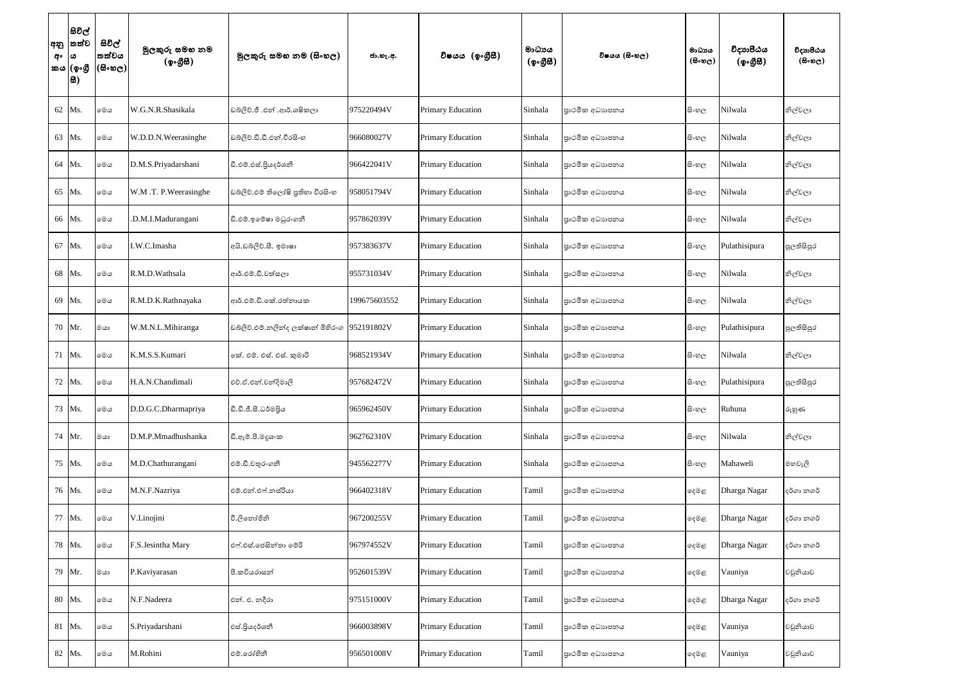| අං  ය | සිවිල්<br> අනු  තත්ව<br>කය (ඉංගී<br> සි) | සිවිල්<br>්තත්වය<br>$(\mathbb{B}\circ\mathfrak{v}_\mathbb{C})$ | මුලකුරු සමහ නම<br>(ඉංගීසි) | මූලකුරු සමහ නම (සිංහල)             | ජා.හැ.අ.     | විෂයය (ඉංගීසී)           | මාධායය<br>(ඉංගීසි) | විෂයය (සිංහල)   | මාධාය<br>$(B \circ \mathfrak{v}_C)$ | විදාහපීඨය<br>(ඉංගුිසි) | විදාහපීඨය<br>$(B \circ \mathfrak{v}_C)$ |
|-------|------------------------------------------|----------------------------------------------------------------|----------------------------|------------------------------------|--------------|--------------------------|--------------------|-----------------|-------------------------------------|------------------------|-----------------------------------------|
|       | 62 Ms.                                   | මෙය                                                            | W.G.N.R.Shasikala          | ඩබ්ලිව්.ජී .එන් .ආර්.ශෂිකලා        | 975220494V   | <b>Primary Education</b> | Sinhala            | පාථමික අධාහපනය  | සි∘හල                               | Nilwala                | නිල්වලා                                 |
|       | 63 Ms.                                   | මෙය                                                            | W.D.D.N.Weerasinghe        | ඩබ්ලිව්.ඩී.ඩී.එන්.වීරසිංහ          | 966080027V   | <b>Primary Education</b> | Sinhala            | පුාථමික අධාහපනය | සි∘හල                               | Nilwala                | නිල්වලා                                 |
|       | 64 Ms.                                   | මෙය                                                            | D.M.S.Priyadarshani        | ඩී.එම්.එස්.පියදර්ශනී               | 966422041V   | <b>Primary Education</b> | Sinhala            | පාථමික අධාහපනය  | සි∘හල                               | Nilwala                | නිල්වලා                                 |
|       | 65 Ms.                                   | මෙය                                                            | W.M.T. P.Weerasinghe       | ඩබ්ලිව්.එම් තිලෝෂි පුතිහා වීරසිංහ  | 958051794V   | <b>Primary Education</b> | Sinhala            | පාථමික අධාහපනය  | සිංහල                               | Nilwala                | නිල්වලා                                 |
|       | 66 Ms.                                   | මෙය                                                            | .D.M.I.Madurangani         | ඩී.එම්.ඉමේෂා මධුරංගනී              | 957862039V   | <b>Primary Education</b> | Sinhala            | පුාථමික අධාහපනය | සි∘හල                               | Nilwala                | නිල්වලා                                 |
|       | 67 Ms.                                   | මෙය                                                            | I.W.C.Imasha               | අයි.ඩබ්ලිව්.සී. ඉමාෂා              | 957383637V   | <b>Primary Education</b> | Sinhala            | පාථමික අධාහපනය  | සි∘හල                               | Pulathisipura          | පුලතිසිපුර                              |
|       | 68 Ms.                                   | මෙය                                                            | R.M.D.Wathsala             | ආර්.එම්.ඩී.වත්සලා                  | 955731034V   | <b>Primary Education</b> | Sinhala            | පුාථමික අධාහපනය | සි∘හල                               | Nilwala                | නිල්වලා                                 |
|       | 69 Ms.                                   | මෙය                                                            | R.M.D.K.Rathnayaka         | ආර්.එම්.ඩි.කේ.රත්නායක              | 199675603552 | <b>Primary Education</b> | Sinhala            | පාථමික අධාහපනය  | සිංහල                               | Nilwala                | නිල්වලා                                 |
|       | 70 Mr.                                   | මයා                                                            | W.M.N.L.Mihiranga          | ඩබ්ලිව්.එම්.නලින්ද ලක්ෂාන් මිහිරංග | 952191802V   | <b>Primary Education</b> | Sinhala            | පුාථමික අධාහපනය | සි∘හල                               | Pulathisipura          | පුලතිසිපුර                              |
|       | 71 Ms.                                   | මෙය                                                            | K.M.S.S.Kumari             | කේ. එම්. එස්. එස්. කුමාරි          | 968521934V   | <b>Primary Education</b> | Sinhala            | පුාථමික අධාහපනය | සිංහල                               | Nilwala                | නිල්වලා                                 |
|       | 72 Ms.                                   | මෙය                                                            | H.A.N.Chandimali           | එච්.ඒ.එන්.චන්දිමාලි                | 957682472V   | <b>Primary Education</b> | Sinhala            | පාථමික අධාහපනය  | සි∘හල                               | Pulathisipura          | පුලතිසිපුර                              |
|       | 73 Ms.                                   | මෙය                                                            | D.D.G.C.Dharmapriya        | ඩී.ඩී.ජී.සී.ධර්මපිය                | 965962450V   | <b>Primary Education</b> | Sinhala            | පුාථමික අධාහපනය | සි∘හල                               | Ruhuna                 | රුහුණ                                   |
|       | 74 Mr.                                   | $rac{1}{2}$                                                    | D.M.P.Mmadhushanka         | ඩී.ඇම්.පී.මදූශංක                   | 962762310V   | <b>Primary Education</b> | Sinhala            | පාථමික අධාහපනය  | සිංහල                               | Nilwala                | නිල්වලා                                 |
|       | 75 Ms.                                   | මෙය                                                            | M.D.Chathurangani          | එම්.ඩී.චතුරංගනී                    | 945562277V   | <b>Primary Education</b> | Sinhala            | පුාථමික අධාහපනය | සි∘හල                               | Mahaweli               | මහවැලි                                  |
|       | 76 Ms.                                   | මෙය                                                            | M.N.F.Nazriya              | එම්.එන්.එෆ්.නස්රියා                | 966402318V   | <b>Primary Education</b> | Tamil              | පාථමික අධාහපනය  | ඈමළ                                 | Dharga Nagar           | දර්ගා නගර්                              |
|       | 77 Ms.                                   | මෙය                                                            | V.Linojini                 | වී.ලිතෝජිනි                        | 967200255V   | <b>Primary Education</b> | Tamil              | පුාථමික අධාහපනය | දෙමළ                                | Dharga Nagar           | දර්ගා නගර්                              |
|       | 78 Ms.                                   | මෙය                                                            | F.S.Jesintha Mary          | එෆ්.එස්.ජෙසින්තා මේරි              | 967974552V   | <b>Primary Education</b> | Tamil              | පාථමික අධාහපනය  | ඈමළ                                 | Dharga Nagar           | දර්ගා නගර්                              |
|       | 79 Mr.                                   | $rac{1}{2}$                                                    | P.Kaviyarasan              | පී.කවියරාසන්                       | 952601539V   | <b>Primary Education</b> | Tamil              | පාථමික අධාහපනය  | දෙමළ                                | Vauniya                | වවුනියාව                                |
|       | 80 Ms.                                   | මෙය                                                            | N.F.Nadeera                | එන්. එ. නදීරා                      | 975151000V   | <b>Primary Education</b> | Tamil              | පාථමික අධාහපනය  | ඈමළ                                 | Dharga Nagar           | දර්ගා නගර්                              |
|       | 81 Ms.                                   | මෙය                                                            | S.Priyadarshani            | එස්.පියදර්ශනී                      | 966003898V   | <b>Primary Education</b> | Tamil              | පාථමික අධාහපනය  | දෙමළ                                | Vauniya                | වවුනියාව                                |
|       | 82 Ms.                                   | මෙය                                                            | M.Rohini                   | එම්.රෝහිනී                         | 956501008V   | <b>Primary Education</b> | Tamil              | පුාථමික අධාහපනය | දෙමළ                                | Vauniya                | වවුනියාව                                |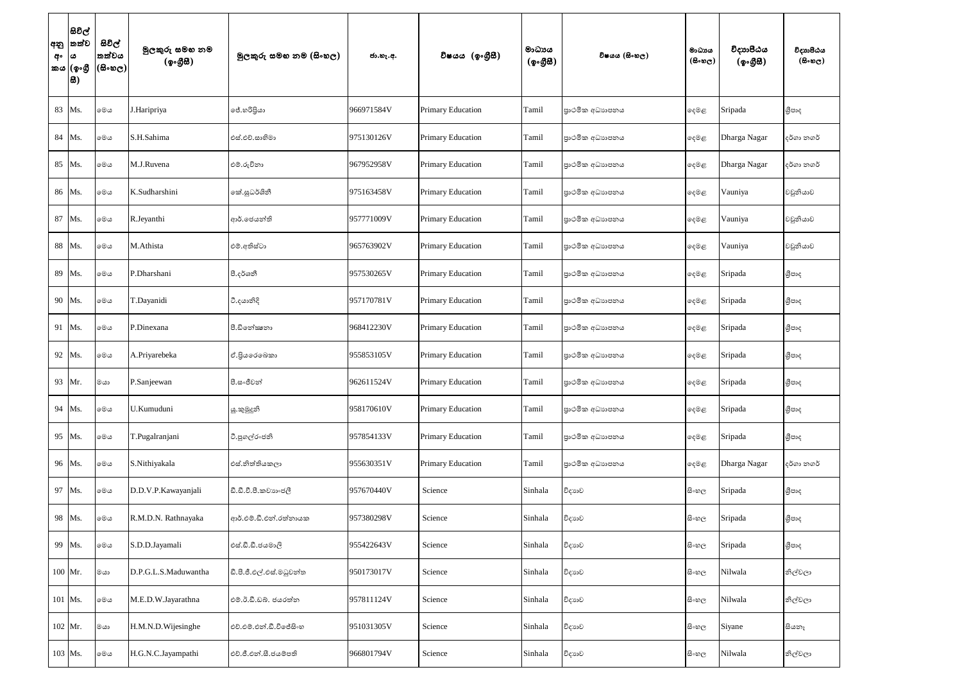| අනු<br>අං | සිවිල්<br>තත්ව<br>ය<br>කය (ඉංගී<br>සි) | සිවිල්<br>තත්වය<br>(සිංහල) | මුලකුරු සමහ නම<br>(ඉංගීසි) | මූලකුරු සමහ නම (සිංහල)   | ජා.හැ.අ.   | විෂයය (ඉංගීුසී)          | මාධායය<br>(ඉංගීසි) | විෂයය (සිංහල)   | මාධායය<br>$(B \circ \mathfrak{v}_C)$ | විදාහපීඨය<br>(ඉංගීසී) | විදාහපීඨය<br>(5.5) |
|-----------|----------------------------------------|----------------------------|----------------------------|--------------------------|------------|--------------------------|--------------------|-----------------|--------------------------------------|-----------------------|--------------------|
| 83        | Ms.                                    | මෙය                        | J.Haripriya                | ජේ.හරිපියා               | 966971584V | <b>Primary Education</b> | Tamil              | පාථමික අධාහපනය  | දෙමළ                                 | Sripada               | ශීපාද              |
| 84        | Ms.                                    | මෙය                        | S.H.Sahima                 | එස්.එච්.සාහිමා           | 975130126V | <b>Primary Education</b> | Tamil              | පුාථමික අධාහපනය | දෙමළ                                 | Dharga Nagar          | දර්ගා නගර්         |
| 85        | Ms.                                    | මෙය                        | M.J.Ruvena                 | එම්.රුවිනා               | 967952958V | Primary Education        | Tamil              | පාථමික අධාහපනය  | දෙමළ                                 | Dharga Nagar          | දර්ගා නගර්         |
| 86        | Ms.                                    | මෙය                        | K.Sudharshini              | කේ.සුධර්ශිනී             | 975163458V | <b>Primary Education</b> | Tamil              | පාථමික අධාහපනය  | දෙමළ                                 | Vauniya               | වවුනියාව           |
| 87        | Ms.                                    | මෙය                        | R.Jeyanthi                 | ආර්.ජෙයන්ති              | 957771009V | <b>Primary Education</b> | Tamil              | පාථමික අධාහපනය  | දෙමළ                                 | Vauniya               | වවුනියාව           |
| 88        | Ms.                                    | මෙය                        | M.Athista                  | එම්.අතිස්ටා              | 965763902V | Primary Education        | Tamil              | පාථමික අධාහපනය  | දෙමළ                                 | Vauniya               | වවුනියාව           |
| 89        | Ms.                                    | මෙය                        | P.Dharshani                | පී.දර්ශනී                | 957530265V | <b>Primary Education</b> | Tamil              | පුාථමික අධාහපනය | දෙමළ                                 | Sripada               | ශීපාද              |
| 90        | Ms.                                    | මෙය                        | T.Dayanidi                 | ටී.දයානිදි               | 957170781V | <b>Primary Education</b> | Tamil              | පාථමික අධාහපනය  | දෙමළ                                 | Sripada               | ශීපාද              |
| 91        | Ms.                                    | මෙය                        | P.Dinexana                 | පී.ඩිතේකුනා              | 968412230V | <b>Primary Education</b> | Tamil              | පාථමික අධාහපනය  | දෙමළ                                 | Sripada               | ශීපාද              |
| 92        | Ms.                                    | මෙය                        | A.Priyarebeka              | ඒ.පියරෙබෙකා              | 955853105V | <b>Primary Education</b> | Tamil              | පාථමික අධාහපනය  | දෙමළ                                 | Sripada               | ශීපාද              |
| 93        | Mr.                                    | මයා                        | P.Sanjeewan                | පී.සංජීවන්               | 962611524V | <b>Primary Education</b> | Tamil              | පාථමික අධාහපනය  | දෙමළ                                 | Sripada               | ශීපාද              |
| 94        | Ms.                                    | මෙය                        | U.Kumuduni                 | යූ.කුමුදුනි              | 958170610V | <b>Primary Education</b> | Tamil              | පාථමික අධාහපනය  | ඈමළ                                  | Sripada               | ශීපාද              |
| 95        | Ms.                                    | මෙය                        | T.Pugalranjani             | ටී.පුගල්රංජනි            | 957854133V | <b>Primary Education</b> | Tamil              | පාථමික අධාහපනය  | දෙමළ                                 | Sripada               | ශීපාද              |
| 96        | Ms.                                    | මෙය                        | S.Nithiyakala              | එස්.නිත්තියකලා           | 955630351V | <b>Primary Education</b> | Tamil              | පාථමික අධාහපනය  | දෙමළ                                 | Dharga Nagar          | දර්ගා නගර්         |
| 97        | Ms.                                    | මෙය                        | D.D.V.P.Kawayanjali        | ඩී.ඩී.වී.පී.කවාහංජලී     | 957670440V | Science                  | Sinhala            | විදාහව          | සිංහල                                | Sripada               | ශීපාද              |
| 98        | Ms.                                    | මෙය                        | R.M.D.N. Rathnayaka        | ආර්.එම්.ඩී.එන්.රත්නායක   | 957380298V | Science                  | Sinhala            | විදාහව          | සි∘හල                                | Sripada               | ශීපාද              |
| 99        | Ms.                                    | මෙය                        | S.D.D.Jayamali             | එස්.ඩී.ඩී.ජයමාලී         | 955422643V | Science                  | Sinhala            | විදාහව          | සි∘හල                                | Sripada               | ශීපාද              |
|           | 100 Mr.                                | මයා                        | D.P.G.L.S.Maduwantha       | ඩී.පී.ජී.එල්.එස්.මධුවන්ත | 950173017V | Science                  | Sinhala            | විදාහව          | සිංහල                                | Nilwala               | නිල්වලා            |
|           | 101 Ms.                                | මෙය                        | M.E.D.W.Jayarathna         | එම්.ඊ.ඩී.ඩබ්. ජයරත්ත     | 957811124V | Science                  | Sinhala            | විදාහව          | සි∘හල                                | Nilwala               | නිල්වලා            |
|           | 102 Mr.                                | මයා                        | H.M.N.D.Wijesinghe         | එච්.එම්.එන්.ඩී.විජේසිංහ  | 951031305V | Science                  | Sinhala            | විදාහව          | සිංහල                                | Siyane                | සියතෑ              |
|           | 103 Ms.                                | මෙය                        | H.G.N.C.Jayampathi         | එච්.ජී.එන්.සී.ජයම්පති    | 966801794V | Science                  | Sinhala            | විදාහව          | සි∘හල                                | Nilwala               | නිල්වලා            |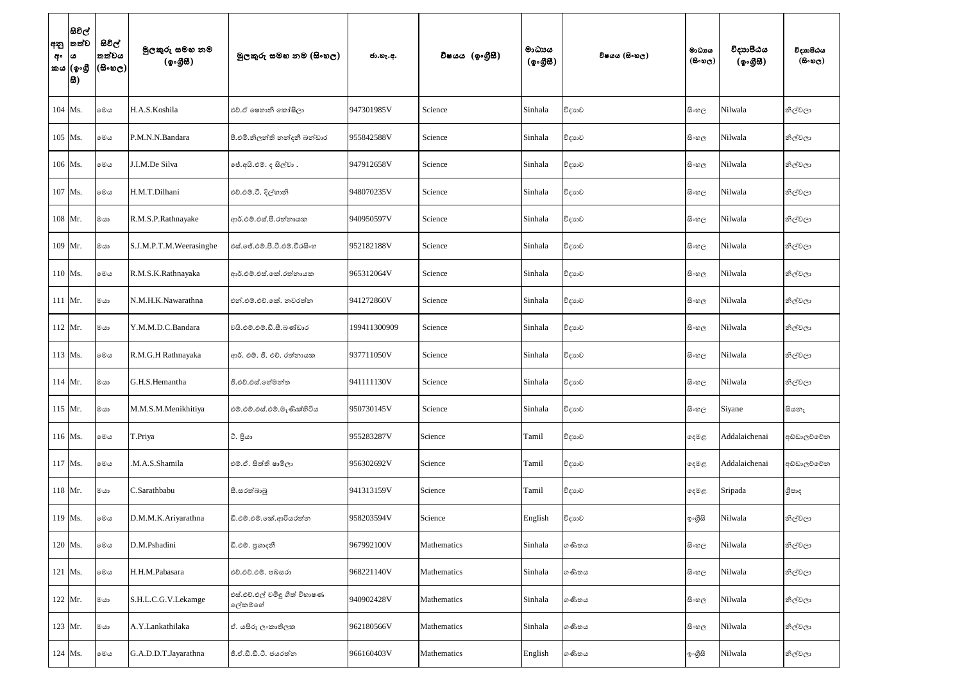| අනු<br>අං | සිවිල්<br>තත්ව<br>ය<br>කය (ඉංගී<br>සි) | සිවිල්<br>තත්වය<br>$(\mathbb{B}\otimes \mathbb{C})$ | මුලකුරු සමහ නම<br>(ඉංගීසි) | මූලකුරු සමහ නම (සිංහල)                   | ජා.හැ.අ.     | විෂයය (ඉංගීසී) | මාධායය<br>(ඉංගීසි) | විෂයය (සිංහල) | මාධායය<br>$(B \circ \omega_C)$ | විදාහපීඨය<br>(ඉංගුිසි) | විදාහපීඨය<br>$(B \circ \mathfrak{v}_C)$ |
|-----------|----------------------------------------|-----------------------------------------------------|----------------------------|------------------------------------------|--------------|----------------|--------------------|---------------|--------------------------------|------------------------|-----------------------------------------|
|           | $104$ Ms.                              | මෙය                                                 | H.A.S.Koshila              | එච්.ඒ ෂෙහානි කෝෂිලා                      | 947301985V   | Science        | Sinhala            | විදාහව        | සි∘හල                          | Nilwala                | නිල්වලා                                 |
|           | 105 Ms.                                | මෙය                                                 | P.M.N.N.Bandara            | පී.එමි.නිලන්ති නන්දනී බන්ඩාර             | 955842588V   | Science        | Sinhala            | විදාහව        | සි∘හල                          | Nilwala                | නිල්වලා                                 |
|           | 106 Ms.                                | මෙය                                                 | J.I.M.De Silva             | ජේ.අයි.එම්. ද සිල්වා.                    | 947912658V   | Science        | Sinhala            | විදාහව        | සිංහල                          | Nilwala                | නිල්වලා                                 |
|           | 107 Ms.                                | මෙය                                                 | H.M.T.Dilhani              | එච්.එම්.ටී. දිල්හානි                     | 948070235V   | Science        | Sinhala            | විදාහව        | සි∘හල                          | Nilwala                | නිල්වලා                                 |
|           | 108 Mr.                                | මයා                                                 | R.M.S.P.Rathnayake         | ආර්.එම්.එස්.පී.රත්නායක                   | 940950597V   | Science        | Sinhala            | විදාහව        | සි∘හල                          | Nilwala                | නිල්වලා                                 |
|           | 109 Mr.                                | මයා                                                 | S.J.M.P.T.M.Weerasinghe    | එස්.ජේ.එම්.පී.ටී.එම්.වීරසිංහ             | 952182188V   | Science        | Sinhala            | විදාහව        | සි∘හල                          | Nilwala                | නිල්වලා                                 |
|           | $110$ Ms.                              | මෙය                                                 | R.M.S.K.Rathnayaka         | ආර්.එම්.එස්.කේ.රත්නායක                   | 965312064V   | Science        | Sinhala            | විදාහව        | සිංහල                          | Nilwala                | නිල්වලා                                 |
|           | 111 Mr.                                | මයා                                                 | N.M.H.K.Nawarathna         | එන්.එම්.එච්.කේ. නවරත්න                   | 941272860V   | Science        | Sinhala            | විදාහව        | සිංහල                          | Nilwala                | නිල්වලා                                 |
|           | $112$ Mr.                              | මයා                                                 | Y.M.M.D.C.Bandara          | වයි.එම්.එම්.ඩී.සී.බණ්ඩාර                 | 199411300909 | Science        | Sinhala            | විදාහව        | සි∘හල                          | Nilwala                | නිල්වලා                                 |
|           | 113 Ms.                                | මෙය                                                 | R.M.G.H Rathnayaka         | ආර්. එම්. ජී. එච්. රත්නායක               | 937711050V   | Science        | Sinhala            | විදාහව        | සිංහල                          | Nilwala                | නිල්වලා                                 |
|           | 114 Mr.                                | මයා                                                 | G.H.S.Hemantha             | ජි.එච්.එස්.හේමන්ත                        | 941111130V   | Science        | Sinhala            | විදාහව        | සි∘හල                          | Nilwala                | නිල්වලා                                 |
|           | 115 Mr.                                | මයා                                                 | M.M.S.M.Menikhitiya        | එම්.එම්.එස්.එම්.මැණික්හිටිය              | 950730145V   | Science        | Sinhala            | විදාහව        | සි∘හල                          | Siyane                 | සියතෑ                                   |
|           | 116 Ms.                                | මෙය                                                 | T.Priya                    | ටී. පියා                                 | 955283287V   | Science        | Tamil              | විදාහව        | දෙමළ                           | Addalaichenai          | අඩ්ඩාලච්චේන                             |
|           | 117 Ms.                                | මෙය                                                 | .M.A.S.Shamila             | එම්.ඒ. සිත්ති ෂාමිලා                     | 956302692V   | Science        | Tamil              | විදාහව        | දෙමළ                           | Addalaichenai          | අඩ්ඩාලව්වේන                             |
|           | 118 Mr.                                | මයා                                                 | C.Sarathbabu               | සී.සරත්බාබු                              | 941313159V   | Science        | Tamil              | විදාහව        | දෙමළ                           | Sripada                | ශීපාද                                   |
|           | 119 Ms.                                | මෙය                                                 | D.M.M.K.Ariyarathna        | ඩී.එම්.එම්.කේ.ආරියරත්න                   | 958203594V   | Science        | English            | විදාහව        | ඉංගීසි                         | Nilwala                | නිල්වලා                                 |
|           | 120 Ms.                                | මෙය                                                 | D.M.Pshadini               | ඩී.එම්. පුශාදනී                          | 967992100V   | Mathematics    | Sinhala            | ගණිතය         | සි∘හල                          | Nilwala                | නිල්වලා                                 |
|           | 121 Ms.                                | මෙය                                                 | H.H.M.Pabasara             | එච්.එච්.එම්. පබසරා                       | 968221140V   | Mathematics    | Sinhala            | ගණිතය         | සි∘හල                          | Nilwala                | නිල්වලා                                 |
|           | 122 Mr.                                | මයා                                                 | S.H.L.C.G.V.Lekamge        | එස්.එච්.එල් චමිඳු ගීත් විහාෂණ<br>ලේකම්ගේ | 940902428V   | Mathematics    | Sinhala            | ගණිතය         | සි∘හල                          | Nilwala                | නිල්වලා                                 |
|           | 123 Mr.                                | මයා                                                 | A.Y.Lankathilaka           | ඒ. යසිරු ලංකාතිලක                        | 962180566V   | Mathematics    | Sinhala            | ගණිතය         | සිංහල                          | Nilwala                | නිල්වලා                                 |
|           | 124 Ms.                                | මෙය                                                 | G.A.D.D.T.Jayarathna       | ජී.ඒ.ඩී.ඩී.ටී. ජයරත්ත                    | 966160403V   | Mathematics    | English            | ගණිතය         | ඉංගීසි                         | Nilwala                | නිල්වලා                                 |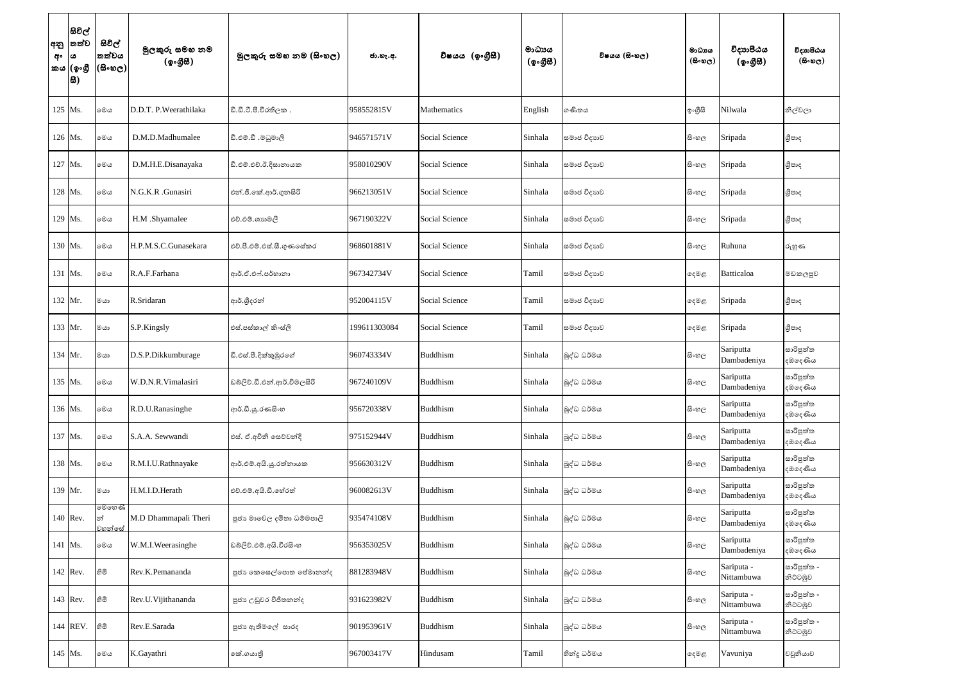| අනු<br>අං | සිවිල්<br>තත්ව<br>ය<br>කය (ඉංගී<br> සි) | සිවිල්<br>තත්වය<br>$(\mathbb{B}\circ\mathfrak{v}_\mathbb{C})$ | මුලකුරු සමහ නම<br>(ඉංගීසී) | මූලකුරු සමහ නම (සිංහල)      | ජා.හැ.අ.     | විෂයය (ඉංගීුසි)    | මාධායය<br>$($ ඉංගීසි $)$ | විෂයය (සිංහල) | මාධායය<br>$(B \circ \mathfrak{v}_C)$ | විදාහපීඨය<br>(ඉංගුිසි)   | විදාහපීඨය<br>$(B \circ \circ \circ)$ |
|-----------|-----------------------------------------|---------------------------------------------------------------|----------------------------|-----------------------------|--------------|--------------------|--------------------------|---------------|--------------------------------------|--------------------------|--------------------------------------|
|           | 125 Ms.                                 | මෙය                                                           | D.D.T. P. Weerathilaka     | ඩී.ඩී.ටී.පී.වීරතිලක .       | 958552815V   | <b>Mathematics</b> | English                  | ගණිතය         | ඉංගුිසි                              | Nilwala                  | නිල්වලා                              |
|           | 126 Ms.                                 | මෙය                                                           | D.M.D.Madhumalee           | විමෙබුම. යී.මමාලි           | 946571571V   | Social Science     | Sinhala                  | සමාජ විදාහව   | සිංහල                                | Sripada                  | ශීපාද                                |
|           | 127 Ms.                                 | මෙය                                                           | D.M.H.E.Disanayaka         | ඩී.එම්.එච්.ඊ.දිසානායක       | 958010290V   | Social Science     | Sinhala                  | සමාජ විදාහව   | සිංහල                                | Sripada                  | ශීපාද                                |
|           | 128 Ms.                                 | මෙය                                                           | N.G.K.R .Gunasiri          | එන්.ජී.කේ.ආර්.ගුනසිරි       | 966213051V   | Social Science     | Sinhala                  | සමාජ විදාහව   | සිංහල                                | Sripada                  | ශීපාද                                |
|           | 129 Ms.                                 | මෙය                                                           | H.M .Shyamalee             | එච්.එම්.ශානමලී              | 967190322V   | Social Science     | Sinhala                  | සමාජ විදාහව   | සිංහල                                | Sripada                  | ශීපාද                                |
|           | 130 Ms.                                 | මෙය                                                           | H.P.M.S.C.Gunasekara       | එච්.පී.එම්.එස්.සී.ගුණසේකර   | 968601881V   | Social Science     | Sinhala                  | සමාජ විදාහව   | සි∘හල                                | Ruhuna                   | රුහුණ                                |
|           | 131 Ms.                                 | මෙය                                                           | R.A.F.Farhana              | ආර්.ඒ.එෆ්.පර්හානා           | 967342734V   | Social Science     | Tamil                    | සමාජ විදාහව   | දෙමළ                                 | Batticaloa               | මඩකලපුව                              |
|           | 132 Mr.                                 | මයා                                                           | R.Sridaran                 | ආර්.ශීදරන්                  | 952004115V   | Social Science     | Tamil                    | සමාජ විදාහව   | දෙමළ                                 | Sripada                  | ශීපාද                                |
|           | 133 Mr.                                 | මයා                                                           | S.P.Kingsly                | එස්.පස්කාල් කිංස්ලි         | 199611303084 | Social Science     | Tamil                    | සමාජ විදාහව   | ෫෧෫                                  | Sripada                  | ශීපාද                                |
|           | 134 Mr.                                 | මයා                                                           | D.S.P.Dikkumburage         | ඩී.එස්.පී.දික්කුඹුරගේ       | 960743334V   | Buddhism           | Sinhala                  | බුද්ධ ධර්මය   | සිංහල                                | Sariputta<br>Dambadeniya | සාරිපුත්ත<br>දඹදෙණිය                 |
|           | 135 Ms.                                 | මෙය                                                           | W.D.N.R.Vimalasiri         | ඩබ්ලිව්.ඩී.එන්.ආර්.විමලසිරි | 967240109V   | Buddhism           | Sinhala                  | බුද්ධ ධර්මය   | සිංහල                                | Sariputta<br>Dambadeniya | සාරිපුත්ත<br>දඹලද <i>ණි</i> ය        |
|           | 136 Ms.                                 | මෙය                                                           | R.D.U.Ranasinghe           | ආර්.ඩී.යු.රණසිංහ            | 956720338V   | Buddhism           | Sinhala                  | බුද්ධ ධර්මය   | සිංහල                                | Sariputta<br>Dambadeniya | සාරිපුත්ත<br>දඹදෙණිය                 |
|           | 137 Ms.                                 | මෙය                                                           | S.A.A. Sewwandi            | එස්. ඒ.අචිනි සෙව්වන්දි      | 975152944V   | Buddhism           | Sinhala                  | බුද්ධ ධර්මය   | සි∘හල                                | Sariputta<br>Dambadeniya | සාරිපුත්ත<br>දඹලද <i>ණි</i> ය        |
|           | 138 Ms.                                 | මෙය                                                           | R.M.I.U.Rathnayake         | ආර්.එම්.අයි.යූ.රත්නායක      | 956630312V   | Buddhism           | Sinhala                  | බුද්ධ ධර්මය   | සි∘හල                                | Sariputta<br>Dambadeniya | සාරිපුත්ත<br>දඹලද <i>ණි</i> ය        |
|           | 139 Mr.                                 | මයා                                                           | H.M.I.D.Herath             | එච්.එම්.අයි.ඩී.හේරත්        | 960082613V   | Buddhism           | Sinhala                  | බුද්ධ ධර්මය   | සි∘හල                                | Sariputta<br>Dambadeniya | සාරිපුත්ත<br>දඹදෙණිය                 |
|           | 140 Rev.                                | මෙහෙණි<br>න්<br>වහන්සේ                                        | M.D Dhammapali Theri       | පූජා මාවෙල දමිතා ධම්මපාලි   | 935474108V   | Buddhism           | Sinhala                  | බුද්ධ ධර්මය   | සි∘හල                                | Sariputta<br>Dambadeniya | සාරිපුත්ත<br>දඹලද <i>ණි</i> ය        |
|           | 141 Ms.                                 | මෙය                                                           | W.M.I.Weerasinghe          | ඩබ්ලිව්.එම්.අයි.වීරසිංහ     | 956353025V   | Buddhism           | Sinhala                  | බුද්ධ ධර්මය   | සිංහල                                | Sariputta<br>Dambadeniya | සාරිපුත්ත<br>දඹදෙණිය                 |
|           | $142$ Rev.                              | නිමි                                                          | Rev.K.Pemananda            | පූජා කෙසෙල්පොත පේමානන්ද     | 881283948V   | Buddhism           | Sinhala                  | බුද්ධ ධර්මය   | සි∘හල                                | Sariputa -<br>Nittambuwa | සාරිපුත්ත -<br>නිවටඹුව               |
|           | 143 Rev.                                | හිමි                                                          | Rev.U.Vijithananda         | පූජා උඩුවර විජිතනන්ද        | 931623982V   | Buddhism           | Sinhala                  | බුද්ධ ධර්මය   | සිංහල                                | Sariputa -<br>Nittambuwa | සාරිපුත්ත -<br>නිවටඹුව               |
|           | 144 REV.                                | නිමි                                                          | Rev.E.Sarada               | පූජා ඇතිමලේ සාරද            | 901953961V   | Buddhism           | Sinhala                  | බුද්ධ ධර්මය   | සි∘හල                                | Sariputa -<br>Nittambuwa | සාරිපුත්ත -<br>නිට්ටඹුව              |
|           | 145 Ms.                                 | මෙය                                                           | K.Gayathri                 | කේ.ගයාතුි                   | 967003417V   | Hindusam           | Tamil                    | හින්දු ධර්මය  | දෙමළ                                 | Vavuniya                 | වවුනියාව                             |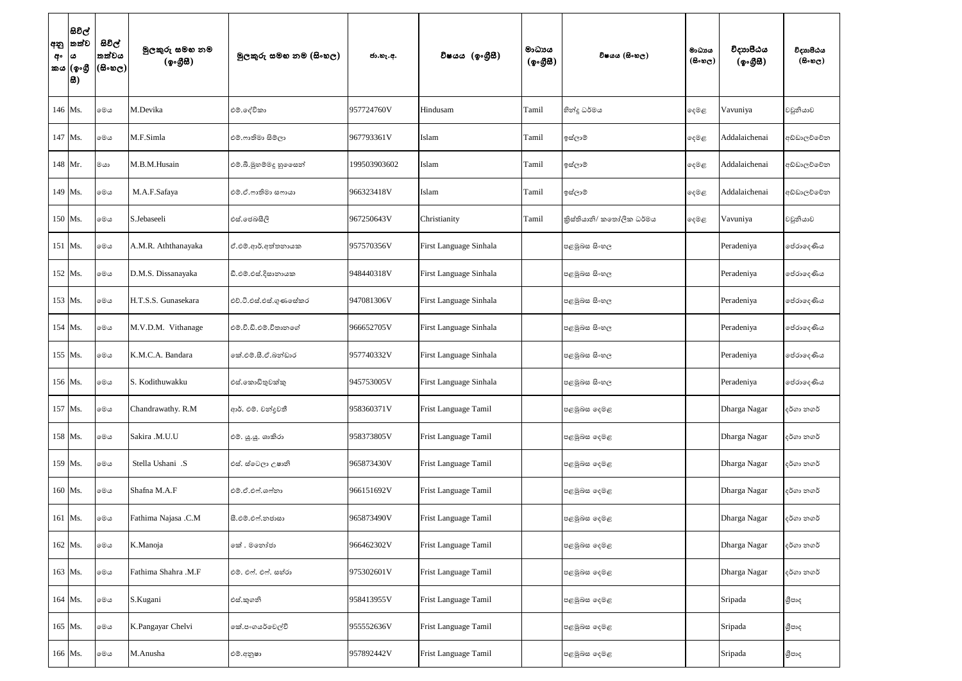| අනු<br>අං<br>කය | සිවිල්<br>තත්ව<br>ය<br>(ඉංගී<br>සි) | සිවිල්<br>තත්වය<br>$(\mathbb{B}\otimes \mathbb{C})$ | මුලකුරු සමහ නම<br>(ඉංගීසී) | මූලකුරු සමහ නම (සිංහල)   | ජා.හැ.අ.     | විෂයය (ඉංගීසී)         | මාධායය<br>(ඉංගීසී) | විෂයය (සිංහල)            | මාධාය<br>$(B \circ \omega_C)$ | විදාාාපීඨය<br>(ඉංගීසී) | විදාහපීඨය<br>$(B \circ \mathfrak{v}_C)$ |
|-----------------|-------------------------------------|-----------------------------------------------------|----------------------------|--------------------------|--------------|------------------------|--------------------|--------------------------|-------------------------------|------------------------|-----------------------------------------|
|                 | 146 Ms.                             | මෙය                                                 | M.Devika                   | එම්.දේවිකා               | 957724760V   | Hindusam               | Tamil              | හින්දු ධර්මය             | දෙමළ                          | Vavuniya               | වවුනියාව                                |
|                 | 147 Ms.                             | මෙය                                                 | M.F.Simla                  | එම්.ෆාතිමා සිම්ලා        | 967793361V   | Islam                  | Tamil              | ඉස්ලාම්                  | ඈමළ                           | Addalaichenai          | අඩ්ඩාලච්චේන                             |
|                 | 148 Mr.                             | මයා                                                 | M.B.M.Husain               | එම්.බී.මුහම්මදු හු ෙෙසන් | 199503903602 | Islam                  | Tamil              | ඉස්ලාම්                  | ෫ෙළ                           | Addalaichenai          | අඩ්ඩාලච්චේන                             |
|                 | 149 Ms.                             | මෙය                                                 | M.A.F.Safaya               | එම්.ඒ.ෆාතිමා සෆායා       | 966323418V   | Islam                  | Tamil              | ඉස්ලාම්                  | ෫ෙළ                           | Addalaichenai          | අඩ්ඩාලච්චේන                             |
| 150 Ms.         |                                     | මෙය                                                 | S.Jebaseeli                | එස්.ජෙබසීලි              | 967250643V   | Christianity           | Tamil              | කිස්තියානි/ කතෝලික ධර්මය | ඈමළ                           | Vavuniya               | වවුනියාව                                |
| 151 Ms.         |                                     | මෙය                                                 | A.M.R. Aththanayaka        | ඒ.එම්.ආර්.අත්තනායක       | 957570356V   | First Language Sinhala |                    | පළමුබස සිංහල             |                               | Peradeniya             | පේරාදෙණිය                               |
|                 | 152 Ms.                             | මෙය                                                 | D.M.S. Dissanayaka         | ඩී.එම්.එස්.දිසානායක      | 948440318V   | First Language Sinhala |                    | පළමුබස සිංහල             |                               | Peradeniya             | පේරාදෙණිය                               |
| 153 Ms.         |                                     | මෙය                                                 | H.T.S.S. Gunasekara        | එච්.ටී.එස්.එස්.ගුණසේකර   | 947081306V   | First Language Sinhala |                    | පළමුබස සිංහල             |                               | Peradeniya             | පේරාදෙණිය                               |
|                 | 154 Ms.                             | මෙය                                                 | M.V.D.M. Vithanage         | එම්.වී.ඩී.එම්.විතානගේ    | 966652705V   | First Language Sinhala |                    | පළමුබස සිංහල             |                               | Peradeniya             | පේරාදෙණිය                               |
| 155 Ms.         |                                     | මෙය                                                 | K.M.C.A. Bandara           | කේ.එම්.සී.ඒ.බන්ඩාර       | 957740332V   | First Language Sinhala |                    | පළමුබස සිංහල             |                               | Peradeniya             | පේරාදෙණිය                               |
|                 | 156 Ms.                             | මෙය                                                 | S. Kodithuwakku            | එස්.කොඩිතුවක්කු          | 945753005V   | First Language Sinhala |                    | පළමුබස සිංහල             |                               | Peradeniya             | පේරාදෙණිය                               |
|                 | 157 Ms.                             | මෙය                                                 | Chandrawathy. R.M          | ආර්. එම්. චන්දුවතී       | 958360371V   | Frist Language Tamil   |                    | පළමුබස දෙමළ              |                               | Dharga Nagar           | දර්ගා නගර්                              |
|                 | 158 Ms.                             | මෙය                                                 | Sakira .M.U.U              | එම්. යූ.යූ. ශාකිරා       | 958373805V   | Frist Language Tamil   |                    | පළමුඛස දෙමළ              |                               | Dharga Nagar           | දර්ගා නගර්                              |
|                 | 159 Ms.                             | මෙය                                                 | Stella Ushani .S           | එස්. ස්ටෙලා උෂානි        | 965873430V   | Frist Language Tamil   |                    | පළමුබස දෙමළ              |                               | Dharga Nagar           | දර්ගා නගර්                              |
|                 | 160 Ms.                             | මෙය                                                 | Shafna M.A.F               | එම්.ඒ.එෆ්.ශෆ්නා          | 966151692V   | Frist Language Tamil   |                    | පළමුඛස දෙමළ              |                               | Dharga Nagar           | දර්ගා නගර්                              |
|                 | 161 Ms.                             | මෙය                                                 | Fathima Najasa .C.M        | සී.එම්.එෆ්.නජාසා         | 965873490V   | Frist Language Tamil   |                    | පළමුබස දෙමළ              |                               | Dharga Nagar           | දර්ගා නගර්                              |
|                 | 162 Ms.                             | මෙය                                                 | K.Manoja                   | කේ . මනෝජා               | 966462302V   | Frist Language Tamil   |                    | පළමුබස දෙමළ              |                               | Dharga Nagar           | දර්ගා නගර්                              |
|                 | 163 Ms.                             | මෙය                                                 | Fathima Shahra .M.F        | එම්. එෆ්. එෆ්. සහ්රා     | 975302601V   | Frist Language Tamil   |                    | පළමුබස දෙමළ              |                               | Dharga Nagar           | දර්ගා නගර්                              |
|                 | 164 Ms.                             | මෙය                                                 | S.Kugani                   | එස්.කුගනි                | 958413955V   | Frist Language Tamil   |                    | පළමුඛස දෙමළ              |                               | Sripada                | ශීපාද                                   |
|                 | 165 Ms.                             | මෙය                                                 | K.Pangayar Chelvi          | කේ.පංගයර්වෙල්වි          | 955552636V   | Frist Language Tamil   |                    | පළමුඛස දෙමළ              |                               | Sripada                | ශීපාද                                   |
|                 | 166 Ms.                             | මෙය                                                 | M.Anusha                   | එම්.අනූෂා                | 957892442V   | Frist Language Tamil   |                    | පළමුබස දෙමළ              |                               | Sripada                | ශීපාද                                   |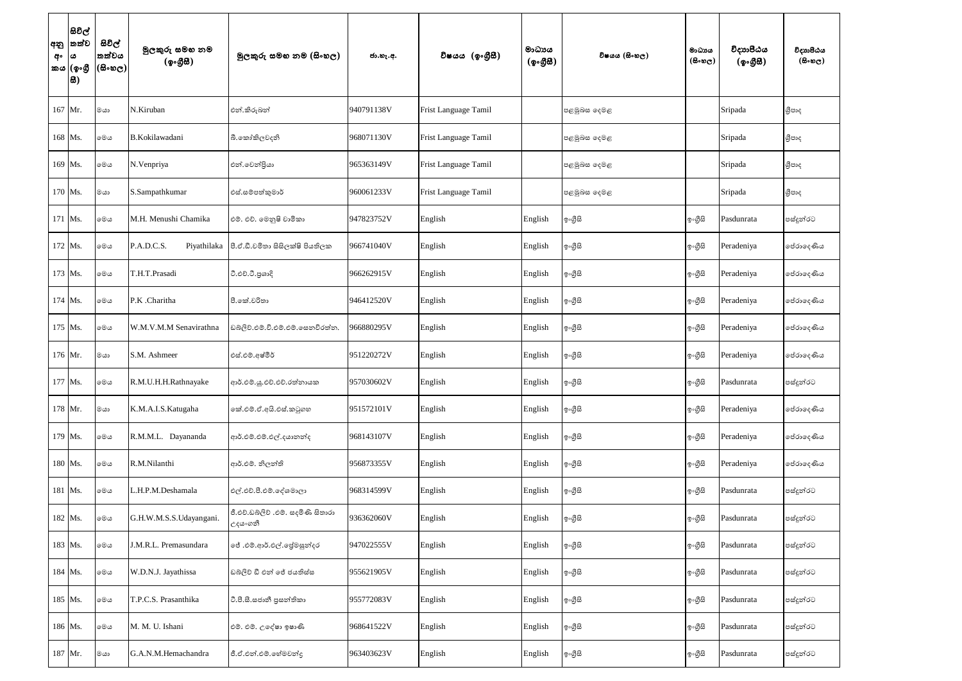| අනු<br>අං | සිවිල්<br>තත්ව<br>ය<br>කය (ඉංගී<br>සි) | සිවිල්<br>තත්වය<br>$(\mathbb{B}\circ\mathfrak{v}_\mathbb{C})$ | මුලකුරු සමහ නම<br>(ඉංගීසි) | මූලකුරු සමහ නම (සිංහල)                        | ජා.හැ.අ.   | විෂයය (ඉංගීසී)              | මාධායය<br>(ඉංගීසි) | විෂයය (සිංහල) | මාධායය<br>$(B \circ \omega_C)$ | විදාහපීඨය<br>(ඉංගුිසි) | විදාහපීඨය<br>$(5 \circ \circ \circ)$ |
|-----------|----------------------------------------|---------------------------------------------------------------|----------------------------|-----------------------------------------------|------------|-----------------------------|--------------------|---------------|--------------------------------|------------------------|--------------------------------------|
|           | 167 Mr.                                | මයා                                                           | N.Kiruban                  | එන්.කිරුබන්                                   | 940791138V | <b>Frist Language Tamil</b> |                    | පළමුබස දෙමළ   |                                | Sripada                | ශීපාද                                |
|           | 168 Ms.                                | මෙය                                                           | B.Kokilawadani             | බී.කෝකිලවදනි                                  | 968071130V | Frist Language Tamil        |                    | පළමුඛස දෙමළ   |                                | Sripada                | ශීපාද                                |
|           | 169 Ms.                                | මෙය                                                           | N.Venpriya                 | එන්.වෙන්දියා                                  | 965363149V | Frist Language Tamil        |                    | පළමුඛස දෙමළ   |                                | Sripada                | ශීපාද                                |
|           | 170 Ms.                                | මයා                                                           | S.Sampathkumar             | එස්.සම්පත්කුමාර්                              | 960061233V | Frist Language Tamil        |                    | පළමුබස දෙමළ   |                                | Sripada                | ශීපාද                                |
|           | 171 Ms.                                | මෙය                                                           | M.H. Menushi Chamika       | එම්. එච්. මෙනුෂි චාමිකා                       | 947823752V | English                     | English            | ඉංගීසි        | ඉංගීසි                         | Pasdunrata             | පස්දුන්රට                            |
|           | 172 Ms.                                | මෙය                                                           | P.A.D.C.S.<br>Piyathilaka  | පී.ඒ.ඩී.චමිතා සිසිලක්ෂි පියතිලක               | 966741040V | English                     | English            | ඉංගීසි        | ඉංගීසි                         | Peradeniya             | ජේරාදෙණිය                            |
|           | 173 Ms.                                | මෙය                                                           | T.H.T.Prasadi              | ටී.එච්.ටී.පුශාදි                              | 966262915V | English                     | English            | ඉංගීසි        | ඉංගීසි                         | Peradeniya             | ජේරාදෙණිය                            |
|           | $174$ Ms.                              | මෙය                                                           | P.K .Charitha              | පී.කේ.චරිතා                                   | 946412520V | English                     | English            | ඉංගීසි        | ඉංගුිසි                        | Peradeniya             | පේරාදෙණිය                            |
|           | 175 Ms.                                | මෙය                                                           | W.M.V.M.M Senavirathna     | ඩබ්ලිව්.එම්.වී.එම්.එම්.සෙනවිරත්ත.             | 966880295V | English                     | English            | ඉ∘ගුිසි       | ඉංගුිසි                        | Peradeniya             | පේරාදෙණිය                            |
|           | 176 Mr.                                | මයා                                                           | S.M. Ashmeer               | එස්.එම්.අෂ්මීර්                               | 951220272V | English                     | English            | ඉ∘ගුිසි       | ඉංගීසි                         | Peradeniya             | පේරාදෙණිය                            |
|           | 177 Ms.                                | මෙය                                                           | R.M.U.H.H.Rathnayake       | ආර්.එම්.ශූ.එච්.එච්.රත්නායක                    | 957030602V | English                     | English            | ඉංගීසි        | ඉංගීසි                         | Pasdunrata             | පස්දූන්රට                            |
|           | 178 Mr.                                | මයා                                                           | K.M.A.I.S.Katugaha         | කේ.එම්.ඒ.අයි.එස්.කටුගහ                        | 951572101V | English                     | English            | ඉංගුිසි       | ඉංගීසි                         | Peradeniya             | ජේරාදෙණිය                            |
|           | 179 Ms.                                | මෙය                                                           | R.M.M.L. Dayananda         | ආර්.එම්.එම්.එල්.දයානන්ද                       | 968143107V | English                     | English            | ඉංගුිසි       | ඉංගීසි                         | Peradeniya             | පේරාදෙණිය                            |
|           | 180 Ms.                                | මෙය                                                           | R.M.Nilanthi               | ආර්.එම්. නිලන්ති                              | 956873355V | English                     | English            | ඉංගීසි        | ඉංගීසි                         | Peradeniya             | පේරාදෙණිය                            |
|           | 181 Ms.                                | මෙය                                                           | L.H.P.M.Deshamala          | එල්.එච්.පී.එම්.දේශමාලා                        | 968314599V | English                     | English            | ඉංගීසි        | ඉංගීසි                         | Pasdunrata             | පස්දුන්රට                            |
|           | 182 Ms.                                | මෙය                                                           | G.H.W.M.S.S.Udayangani.    | ජී.එච්.ඩබ්ලිව් .එම්. සදමිණි සිතාරා<br>උදයංගනී | 936362060V | English                     | English            | ඉංගීසි        | ඉංගීසි                         | Pasdunrata             | පස්දුන්රට                            |
|           | 183 Ms.                                | මෙය                                                           | J.M.R.L. Premasundara      | ේ .එම්.ආර්.එල්.ජේමසුන්දර                      | 947022555V | English                     | English            | ඉංගීසි        | ඉංගීසි                         | Pasdunrata             | පස්දුන්රට                            |
|           | 184 Ms.                                | මෙය                                                           | W.D.N.J. Jayathissa        | ඩබ්ලිව් ඩී එන් ජේ ජයතිස්ස                     | 955621905V | English                     | English            | ඉංගීසි        | ඉංගීසි                         | Pasdunrata             | පස්දුන්රට                            |
|           | 185 Ms.                                | මෙය                                                           | T.P.C.S. Prasanthika       | ටී.පී.සී.සජානී පුසත්තිකා                      | 955772083V | English                     | English            | ඉංගීසි        | ඉ∘ගුිසි                        | Pasdunrata             | පස්දුන්රට                            |
|           | 186 Ms.                                | මෙය                                                           | M. M. U. Ishani            | එම්. එම්. උදේෂා ඉෂාණි                         | 968641522V | English                     | English            | ඉංගුිසි       | ඉංගීසි                         | Pasdunrata             | පස්දුන්රට                            |
|           | 187 Mr.                                | මයා                                                           | G.A.N.M.Hemachandra        | ජී.ඒ.එන්.එම්.හේමචන්දු                         | 963403623V | English                     | English            | ඉංගීසි        | ඉංගීසි                         | Pasdunrata             | පස්දුන්රට                            |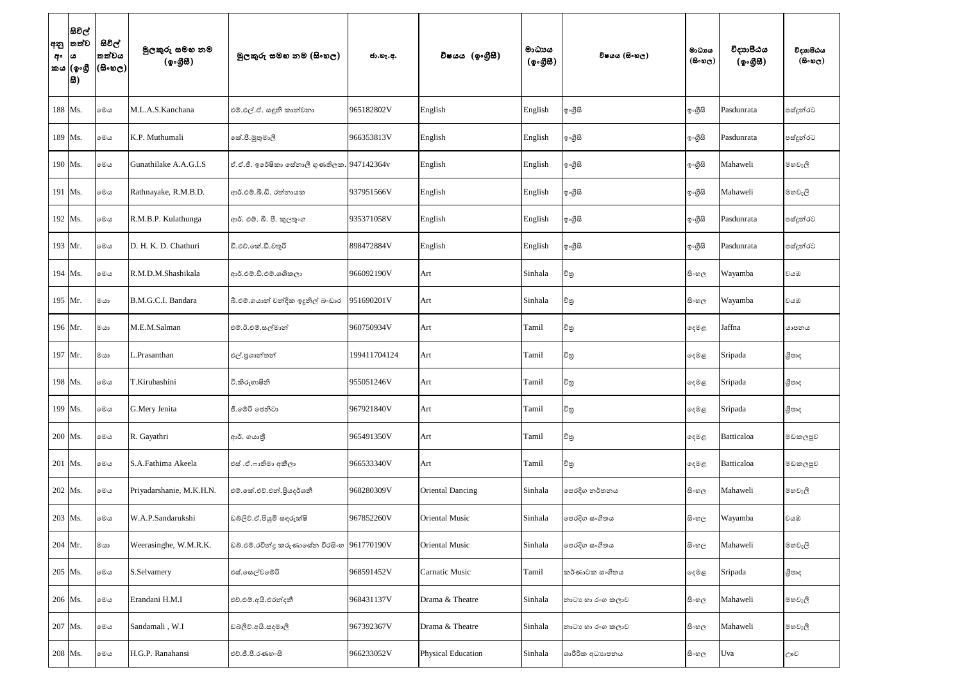| අනු<br>අං | සිවිල්<br>තත්ව<br>ය<br>කය (ඉංගී<br> සි) | සිවිල්<br>තත්වය<br>$(\mathbb{B}\circ\mathfrak{v}_\mathbb{C})$ | මුලකුරු සමහ නම<br>(ඉංගීසී) | මූලකුරු සමහ නම (සිංහල)                     | ජා.හැ.අ.     | විෂයය (ඉංගීුසි)           | මාධායය<br>$(\phi \circ \mathcal{B} \mathcal{B})$ | විෂයය (සිංහල)    | මාධාය<br>$(B \circ \omega_C)$ | විදාහපීඨය<br>(ඉංගුිසි) | විදාහපීඨය<br>$(B \circ \mathfrak{v}_C)$ |
|-----------|-----------------------------------------|---------------------------------------------------------------|----------------------------|--------------------------------------------|--------------|---------------------------|--------------------------------------------------|------------------|-------------------------------|------------------------|-----------------------------------------|
|           | 188 Ms.                                 | මෙය                                                           | M.L.A.S.Kanchana           | එම්.එල්.ඒ. සඳුනි කාන්චනා                   | 965182802V   | English                   | English                                          | ඉංගුිසි          | ඉංගුිසි                       | Pasdunrata             | පස්දුන්රට                               |
|           | 189 Ms.                                 | මෙය                                                           | K.P. Muthumali             | කේ.පී.මුතුමාලී                             | 966353813V   | English                   | English                                          | ඉංගුිසි          | ඉංගුිසි                       | Pasdunrata             | පස්දුන්රට                               |
|           | 190 Ms.                                 | මෙය                                                           | Gunathilake A.A.G.I.S      | ඒ.ඒ.ජී. ඉරේෂිකා සේතාලී ගුණතිලක. 947142364v |              | English                   | English                                          | ඉංගීසි           | ඉංගුිසි                       | Mahaweli               | මහවැලි                                  |
|           | 191 Ms.                                 | මෙය                                                           | Rathnayake, R.M.B.D.       | ආර්.එම්.බී.ඩී. රත්නායක                     | 937951566V   | English                   | English                                          | ඉංගුිසි          | ඉංගුිසි                       | Mahaweli               | මහවැලි                                  |
|           | 192 Ms.                                 | මෙය                                                           | R.M.B.P. Kulathunga        | ආර්. එම්. බී. පී. කුලතුංග                  | 935371058V   | English                   | English                                          | ඉංගුිසි          | ඉංගුිසි                       | Pasdunrata             | පස්දුන්රට                               |
|           | 193 Mr.                                 | මෙය                                                           | D. H. K. D. Chathuri       | ඩී.එච්.කේ.ඩී.චතුරි                         | 898472884V   | English                   | English                                          | ඉංගුිසි          | ඉංගුිසි                       | Pasdunrata             | පස්දුන්රට                               |
|           | 194 Ms.                                 | මෙය                                                           | R.M.D.M.Shashikala         | ආර්.එම්.ඩි.එම්.ශශිකලා                      | 966092190V   | Art                       | Sinhala                                          | චිතු             | සි∘හල                         | Wayamba                | වයඹ                                     |
|           | 195 Mr.                                 | මයා                                                           | B.M.G.C.I. Bandara         | බී.එම්.ගයාන් චන්දික ඉදුනිල් බංඩාර          | 951690201V   | Art                       | Sinhala                                          | චිතු             | සි∘හල                         | Wayamba                | වයඹ                                     |
|           | 196 Mr.                                 | මයා                                                           | M.E.M.Salman               | එම්.ඊ.එම්.සල්මාන්                          | 960750934V   | Art                       | Tamil                                            | චිතු             | ඈමළ                           | Jaffna                 | යාපනය                                   |
|           | 197 Mr.                                 | මයා                                                           | .Prasanthan                | එල්.පුශාන්තන්                              | 199411704124 | Art                       | Tamil                                            | චිනු             | ඈමළ                           | Sripada                | ශීපාද                                   |
|           | 198 Ms.                                 | මෙය                                                           | T.Kirubashini              | ටී.කිරුහාෂිනි                              | 955051246V   | Art                       | Tamil                                            | චිනු             | ෫෧෫                           | Sripada                | ශීපාද                                   |
|           | 199 Ms.                                 | මෙය                                                           | G.Mery Jenita              | ජී.මෙරි ජෙනිටා                             | 967921840V   | Art                       | Tamil                                            | විනු             | දෙමළ                          | Sripada                | ශීපාද                                   |
|           | 200 Ms.                                 | මෙය                                                           | R. Gayathri                | ආර්. ගයානී                                 | 965491350V   | Art                       | Tamil                                            | චිතු             | දෙමළ                          | Batticaloa             | මඩකලපුව                                 |
|           | 201 Ms.                                 | මෙය                                                           | S.A.Fathima Akeela         | එස් .ඒ.ෆාතිමා අකීලා                        | 966533340V   | Art                       | Tamil                                            | චිතු             | දෙමළ                          | Batticaloa             | මඩකලපුව                                 |
|           | 202 Ms.                                 | මෙය                                                           | Priyadarshanie, M.K.H.N.   | එම්.කේ.එච්.එන්.පියදර්ශනී                   | 968280309V   | <b>Oriental Dancing</b>   | Sinhala                                          | පෙරදිග නර්තනය    | සි∘හල                         | Mahaweli               | මහවැලි                                  |
|           | 203 Ms.                                 | මෙය                                                           | W.A.P.Sandarukshi          | ඩබ්ලිව්.ඒ.පියුමි සඳුරුක්ෂි                 | 967852260V   | <b>Oriental Music</b>     | Sinhala                                          | පෙරදිග සංගීතය    | සි∘හල                         | Wayamba                | වයඹ                                     |
|           | 204 Mr.                                 | මයා                                                           | Weerasinghe, W.M.R.K.      | ඩබ්.එම්.රවින්දු කරුණාසේන වීරසිංහ           | 961770190V   | <b>Oriental Music</b>     | Sinhala                                          | පෙරදිග සංගීතය    | සි∘හල                         | Mahaweli               | මහවැලි                                  |
|           | 205 Ms.                                 | මෙය                                                           | S.Selvamery                | එස්.සෙල්වමේරි                              | 968591452V   | <b>Carnatic Music</b>     | Tamil                                            | කර්ණාටක සංගීතය   | ෫෧෫                           | Sripada                | ශීපාද                                   |
|           | 206 Ms.                                 | මෙය                                                           | Erandani H.M.I             | එච්.එම්.අයි.එරත්දනී                        | 968431137V   | Drama & Theatre           | Sinhala                                          | නාටා හා රංග කලාව | සි∘හල                         | Mahaweli               | මහවැලි                                  |
|           | 207 Ms.                                 | මෙය                                                           | Sandamali, W.I             | ඩබලිව්.අයි.සදමාලි                          | 967392367V   | Drama & Theatre           | Sinhala                                          | නාටා හා රංග කලාව | සිංහල                         | Mahaweli               | මහවැලි                                  |
|           | 208 Ms.                                 | මෙය                                                           | H.G.P. Ranahansi           | එච්.ජී.පී.රණහංසි                           | 966233052V   | <b>Physical Education</b> | Sinhala                                          | ශාරීරික අධාහපනය  | සි∘හල                         | Uva                    | ඌව                                      |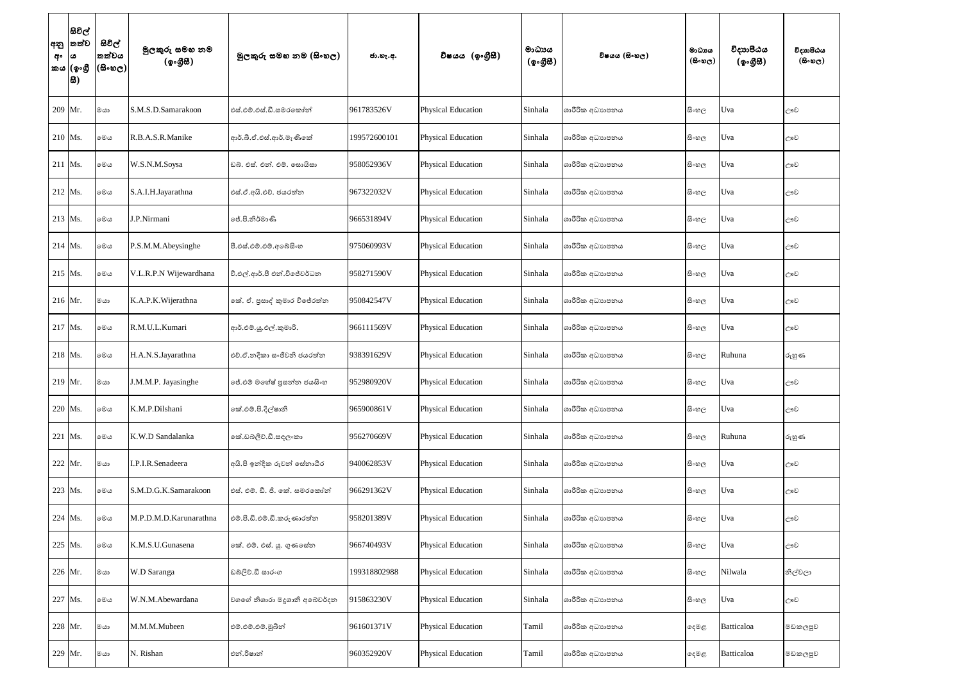| අනු<br>අං | සිවිල්<br> තත්ව<br>ය<br>කය (ඉංගී<br> සි) | සිවිල්<br>තත්වය<br>(සිංහල) | මුලකුරු සමහ නම<br>(ඉංගීසී) | මූලකුරු සමහ නම (සිංහල)        | ජා.හැ.අ.     | විෂයය (ඉංගීුසී)           | මාධායය<br>(ඉංගීසී) | විෂයය (සිංහල)   | මාධාය<br>$(B \circ \omega_C)$ | විදාාපීඨය<br>(ඉංගීසි) | විදාහපීඨය<br>$(5 \circ \circ \circ)$ |
|-----------|------------------------------------------|----------------------------|----------------------------|-------------------------------|--------------|---------------------------|--------------------|-----------------|-------------------------------|-----------------------|--------------------------------------|
|           | 209 Mr.                                  | මයා                        | S.M.S.D.Samarakoon         | එස්.එම්.එස්.ඩී.සමරකෝන්        | 961783526V   | <b>Physical Education</b> | Sinhala            | ශාරීරික අධාහපනය | සි∘හල                         | Uva                   | ඌව                                   |
|           | 210 Ms.                                  | මෙය                        | R.B.A.S.R.Manike           | ආර්.බී.ඒ.එස්.ආර්.මැණිකේ       | 199572600101 | <b>Physical Education</b> | Sinhala            | ශාරීරික අධාහපනය | සිංහල                         | Uva                   | ඌව                                   |
|           | 211 Ms.                                  | මෙය                        | W.S.N.M.Soysa              | ඩබ්. එස්. එන්. එම්. සොයිසා    | 958052936V   | <b>Physical Education</b> | Sinhala            | ශාරීරික අධාහපනය | සි∘හල                         | Uva                   | ඌව                                   |
|           | $212$ Ms.                                | මෙය                        | S.A.I.H.Jayarathna         | එස්.ඒ.අයි.එච්. ජයරත්න         | 967322032V   | <b>Physical Education</b> | Sinhala            | ශාරීරික අධාහපනය | සි∘හල                         | Uva                   | ඌව                                   |
|           | 213 Ms.                                  | මෙය                        | J.P.Nirmani                | ්පේ.පි.නිර්මාණි               | 966531894V   | <b>Physical Education</b> | Sinhala            | ශාරීරික අධාහපනය | සිංහල                         | Uva                   | ඌව                                   |
|           | $214$ Ms.                                | මෙය                        | P.S.M.M.Abeysinghe         | පී.එස්.එම්.එම්.අබේසිංහ        | 975060993V   | <b>Physical Education</b> | Sinhala            | ශාරීරික අධාහපනය | සිංහල                         | Uva                   | ඌව                                   |
|           | $215$ Ms.                                | මෙය                        | V.L.R.P.N Wijewardhana     | වී.එල්.ආර්.පී එන්.විජේවර්ධන   | 958271590V   | <b>Physical Education</b> | Sinhala            | ශාරීරික අධාහපනය | සිංහල                         | Uva                   | ඌව                                   |
|           | 216 Mr.                                  | මයා                        | K.A.P.K.Wijerathna         | කේ. ඒ. පුසාද් කුමාර විජේරත්න  | 950842547V   | <b>Physical Education</b> | Sinhala            | ශාරීරික අධාහපනය | සි∘හල                         | Uva                   | ඌව                                   |
|           | 217 Ms.                                  | මෙය                        | R.M.U.L.Kumari             | ආර්.එම්.ශූ.එල්.කුමාරි.        | 966111569V   | <b>Physical Education</b> | Sinhala            | ශාරීරික අධාහපනය | සි∘හල                         | Uva                   | ඌව                                   |
|           | 218 Ms.                                  | මෙය                        | H.A.N.S.Jayarathna         | එච්.ඒ.නදීකා සංජීවනි ජයරත්න    | 938391629V   | <b>Physical Education</b> | Sinhala            | ශාරීරික අධාහපනය | සි∘හල                         | Ruhuna                | රුහුණ                                |
|           | 219 Mr.                                  | මයා                        | J.M.M.P. Jayasinghe        | ේ.එම් මහේෂ් පුසන්න ජයසිංහ     | 952980920V   | <b>Physical Education</b> | Sinhala            | ශාරීරික අධාහපනය | සි∘හල                         | Uva                   | ඌව                                   |
|           | 220 Ms.                                  | මෙය                        | K.M.P.Dilshani             | කේ.එම්.පි.දිල්ෂානි            | 965900861V   | <b>Physical Education</b> | Sinhala            | ශාරීරික අධාහපනය | සිංහල                         | Uva                   | ඌව                                   |
|           | 221 Ms.                                  | මෙය                        | K.W.D Sandalanka           | කේ.ඩබ්ලිව්.ඩී.සඳලංකා          | 956270669V   | <b>Physical Education</b> | Sinhala            | ශාරීරික අධාහපනය | සි∘හල                         | Ruhuna                | රුහුණ                                |
|           | 222 Mr.                                  | මයා                        | I.P.I.R.Senadeera          | අයි.පි ඉන්දික රුවන් සේනාධීර   | 940062853V   | <b>Physical Education</b> | Sinhala            | ශාරීරික අධාහපනය | සි∘හල                         | Uva                   | ඌව                                   |
|           | 223 Ms.                                  | මෙය                        | S.M.D.G.K.Samarakoon       | එස්. එම්. ඩී. ජි. කේ. සමරකෝන් | 966291362V   | <b>Physical Education</b> | Sinhala            | ශාරීරික අධාහපනය | සි∘හල                         | Uva                   | ඌව                                   |
|           | 224 Ms.                                  | මෙය                        | M.P.D.M.D.Karunarathna     | එම්.පී.ඩී.එම්.ඩී.කරුණාරත්ත    | 958201389V   | <b>Physical Education</b> | Sinhala            | ශාරීරික අධාහපනය | සි∘හල                         | Uva                   | ඌව                                   |
|           | 225 Ms.                                  | මෙය                        | K.M.S.U.Gunasena           | කේ. එම්. එස්. යු. ගුණසේන      | 966740493V   | <b>Physical Education</b> | Sinhala            | ශාරීරික අධාහපනය | සිංහල                         | Uva                   | ඌව                                   |
|           | 226 Mr.                                  | මයා                        | W.D Saranga                | ඩබ්ලිව්.ඩී සාරංග              | 199318802988 | <b>Physical Education</b> | Sinhala            | ශාරීරික අධාහපනය | සි∘හල                         | Nilwala               | නිල්වලා                              |
|           | 227 Ms.                                  | මෙය                        | W.N.M.Abewardana           | වගගේ නිශාරා මදුශානි අබේවර්දන  | 915863230V   | <b>Physical Education</b> | Sinhala            | ශාරීරික අධාහපනය | සි∘හල                         | Uva                   | ඌව                                   |
|           | 228 Mr.                                  | මයා                        | M.M.M.Mubeen               | එම්.එම්.එම්.මූබීන්            | 961601371V   | <b>Physical Education</b> | Tamil              | ශාරීරික අධාහපනය | දෙමළ                          | Batticaloa            | මඩකලපුව                              |
|           | 229 Mr.                                  | මයා                        | N. Rishan                  | එන්.රිෂාන්                    | 960352920V   | <b>Physical Education</b> | Tamil              | ශාරීරික අධාහපනය | දෙමළ                          | Batticaloa            | මඩකලපුව                              |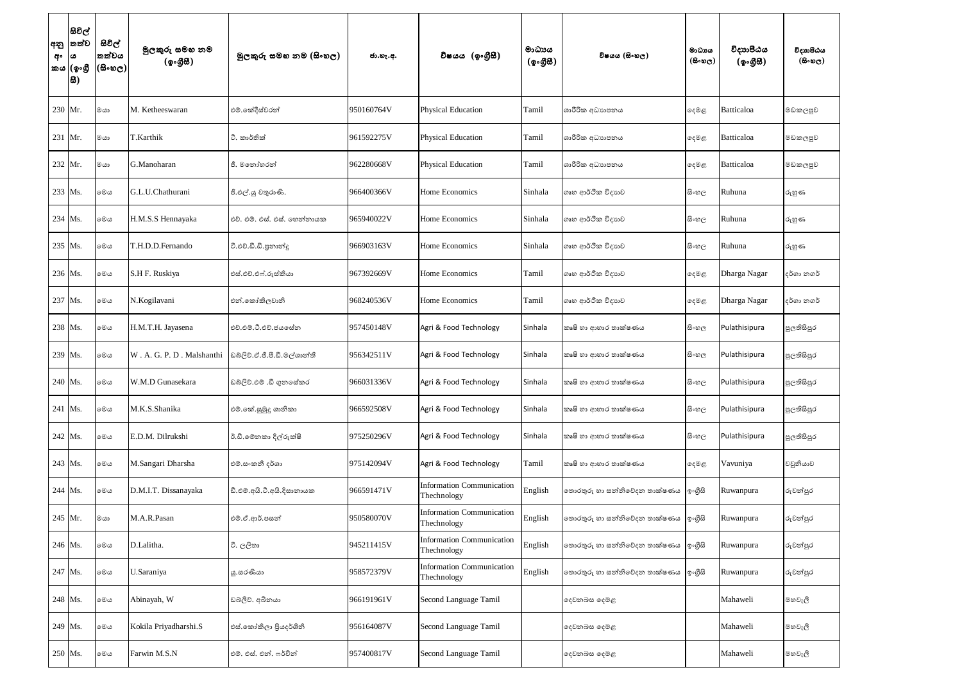| අනු<br>අං<br>කය | සිවිල්<br>තත්ව<br>ය<br>(ඉංගී<br>ස) | සිවිල්<br>තත්වය<br>$(\mathbb{B}\otimes \mathbb{C})$ | මුලකුරු සමහ නම<br>(ඉංගීසී) | මූලකුරු සමහ නම (සිංහල)       | ජා.හැ.අ.   | විෂයය (ඉංගීුසි)                                 | මාධායය<br>$($ ඉංගීසි $)$ | විෂයය (සිංහල)                | මාධාය<br>$(B \circ \mathfrak{v}_C)$ | විදාාාපීඨය<br>(ඉංගුිසි) | විදාහපීඨය<br>$($ සිංහල) |
|-----------------|------------------------------------|-----------------------------------------------------|----------------------------|------------------------------|------------|-------------------------------------------------|--------------------------|------------------------------|-------------------------------------|-------------------------|-------------------------|
|                 | 230 Mr.                            | මයා                                                 | M. Ketheeswaran            | එම්.කේදීස්වරන්               | 950160764V | <b>Physical Education</b>                       | Tamil                    | ශාරීරික අධාහපනය              | ඈමළ                                 | Batticaloa              | මඩකලපුව                 |
|                 | $231$ Mr.                          | මයා                                                 | T.Karthik                  | ටී. කාර්තික්                 | 961592275V | <b>Physical Education</b>                       | Tamil                    | ශාරීරික අධාහපනය              | දෙමළ                                | Batticaloa              | මඩකලපුව                 |
| 232             | Mr.                                | මයා                                                 | G.Manoharan                | ජී. මතෝහරන්                  | 962280668V | <b>Physical Education</b>                       | Tamil                    | ශාරීරික අධාහපනය              | ඈමළ                                 | Batticaloa              | මඩකලපුව                 |
|                 | 233 Ms.                            | මෙය                                                 | G.L.U.Chathurani           | ජී.එල්.යු චතුරාණි.           | 966400366V | Home Economics                                  | Sinhala                  | ගෘහ ආර්ථික විදාහව            | සි∘හල                               | Ruhuna                  | රුහුණ                   |
|                 | 234 Ms.                            | මෙය                                                 | H.M.S.S Hennayaka          | එච්. එම්. එස්. එස්. හෙන්නායක | 965940022V | Home Economics                                  | Sinhala                  | ගෘහ ආර්ථික විදාහව            | සිංහල                               | Ruhuna                  | රුහුණ                   |
|                 | 235 Ms.                            | මෙය                                                 | T.H.D.D.Fernando           | ටී.එච්.ඩී.ඩී.පුනාන්දූ        | 966903163V | Home Economics                                  | Sinhala                  | ගෘහ ආර්ථික විදාහව            | සිංහල                               | Ruhuna                  | රුහුණ                   |
|                 | 236 Ms.                            | මෙය                                                 | S.H F. Ruskiya             | එස්.එච්.එෆ්.රුස්කියා         | 967392669V | Home Economics                                  | Tamil                    | ගෘහ ආර්ථික විදාහව            | ඈමළ                                 | Dharga Nagar            | දර්ගා නගර්              |
| 237             | Ms.                                | මෙය                                                 | N.Kogilavani               | එන්.කෝකිලවානි                | 968240536V | Home Economics                                  | Tamil                    | ගෘහ ආර්ථික විදාහව            | ඈමළ                                 | Dharga Nagar            | දර්ගා නගර්              |
|                 | 238 Ms.                            | මෙය                                                 | H.M.T.H. Jayasena          | එච්.එම්.ටී.එච්.ජයසේන         | 957450148V | Agri & Food Technology                          | Sinhala                  | කෘෂි හා ආහාර තාක්ෂණය         | සිංහල                               | Pulathisipura           | පුලතිසිපුර              |
|                 | 239 Ms.                            | මෙය                                                 | W. A. G. P. D. Malshanthi  | ඩබ්ලිව්.ඒ.ජී.පී.ඩී.මල්ශාන්තී | 956342511V | Agri & Food Technology                          | Sinhala                  | කෘෂි හා ආහාර තාක්ෂණය         | සි∘හල                               | Pulathisipura           | පුලතිසිපුර              |
|                 | 240 Ms.                            | මෙය                                                 | W.M.D Gunasekara           | ඩබ්ලිව්.එම් .ඩී ගුනසේකර      | 966031336V | Agri & Food Technology                          | Sinhala                  | කෘෂි හා ආහාර තාක්ෂණය         | සි∘හල                               | Pulathisipura           | පුලතිසිපුර              |
|                 | 241 Ms.                            | මෙය                                                 | M.K.S.Shanika              | එම්.කේ.සුමුදු ශානිකා         | 966592508V | Agri & Food Technology                          | Sinhala                  | කෘෂි හා ආහාර තාක්ෂණය         | සි∘හල                               | Pulathisipura           | පුලතිසිපුර              |
|                 | 242 Ms.                            | මෙය                                                 | E.D.M. Dilrukshi           | ඊ.ඩී.මේනකා දිල්රුක්ෂි        | 975250296V | Agri & Food Technology                          | Sinhala                  | කෘෂි හා ආහාර තාක්ෂණය         | සි∘හල                               | Pulathisipura           | පුලතිසිපුර              |
|                 | 243 Ms.                            | මෙය                                                 | M.Sangari Dharsha          | එම්.සංකනී දර්ශා              | 975142094V | Agri & Food Technology                          | Tamil                    | කෘෂි හා ආහාර තාක්ෂණය         | ඈමළ                                 | Vavuniya                | වවුනියාව                |
|                 | 244 Ms.                            | මෙය                                                 | D.M.I.T. Dissanayaka       | ඩී.එම්.අයි.ටී.අයි.දිසානායක   | 966591471V | <b>Information Communication</b><br>Thechnology | English                  | තොරතුරු හා සන්නිවේදන තාක්ෂණය | ඉංගුිසි                             | Ruwanpura               | රුවන්පුර                |
|                 | 245 Mr.                            | මයා                                                 | M.A.R.Pasan                | එම්.ඒ.ආර්.පසන්               | 950580070V | <b>Information Communication</b><br>Thechnology | English                  | තොරතුරු හා සන්නිවේදන තාක්ෂණය | ඉංගුිසි                             | Ruwanpura               | රුවන්පුර                |
|                 | 246 Ms.                            | මෙය                                                 | D.Lalitha.                 | ටී. ලලිතා                    | 945211415V | <b>Information Communication</b><br>Thechnology | English                  | තොරතුරු හා සන්නිවේදන තාක්ෂණය | ඉංගුිසි                             | Ruwanpura               | රුවන්පුර                |
|                 | 247 Ms.                            | මෙය                                                 | U.Saraniya                 | යූ.සරණියා                    | 958572379V | <b>Information Communication</b><br>Thechnology | English                  | තොරතුරු හා සන්නිවේදන තාක්ෂණය | ඉංගුිසි                             | Ruwanpura               | රුවන්පුර                |
|                 | 248 Ms.                            | මෙය                                                 | Abinayah, W                | ඩබ්ලිව්. අබිනයා              | 966191961V | Second Language Tamil                           |                          | දෙවනබස දෙමළ                  |                                     | Mahaweli                | මහවැලි                  |
|                 | 249 Ms.                            | මෙය                                                 | Kokila Priyadharshi.S      | එස්.කෝකිලා පියදර්ශිනි        | 956164087V | Second Language Tamil                           |                          | දෙවනබස දෙමළ                  |                                     | Mahaweli                | මහවැලි                  |
|                 | 250 Ms.                            | මෙය                                                 | Farwin M.S.N               | එම්. එස්. එන්. ෆර්වින්       | 957400817V | Second Language Tamil                           |                          | දෙවනබස දෙමළ                  |                                     | Mahaweli                | මහවැලි                  |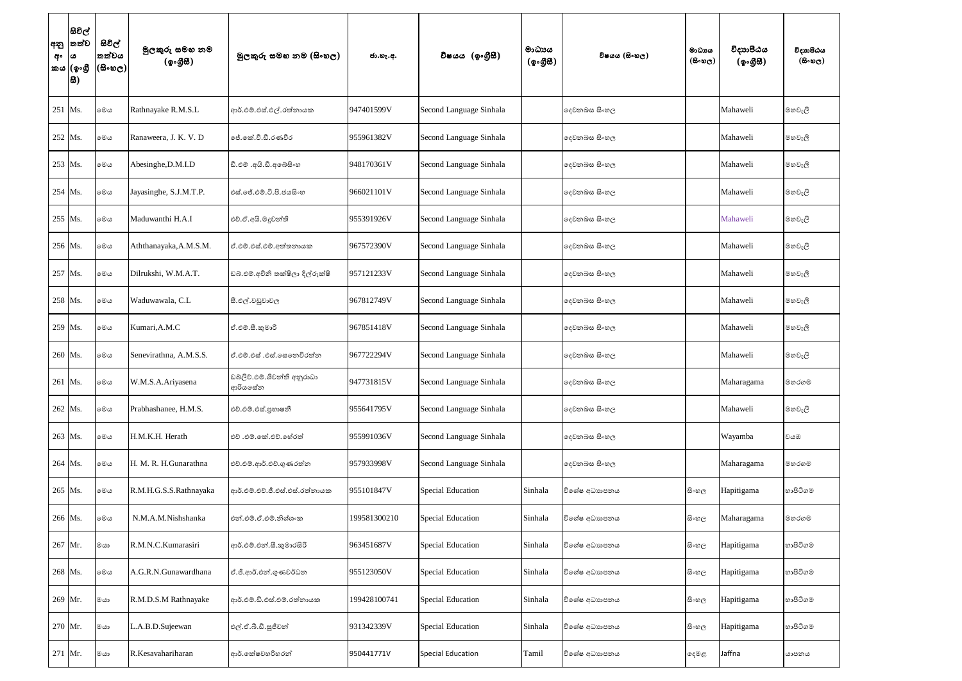| අනු<br>අං | සිවිල්<br> තත්ව<br>ය<br>කය (ඉංගී<br> සි) | සිවිල්<br>තත්වය<br>(සිංහල) | මුලකුරු සමහ නම<br>(ඉංගීසී) | මූලකුරු සමහ නම (සිංහල)                 | ජා.හැ.අ.     | විෂයය (ඉංගීසී)           | මාධායය<br>$({\cal Q} \circ {\cal GB})$ | විෂයය (සිංහල) | මාධාය<br>$($ കിംജ $\mathbf{c})$ | විදාාපීඨය<br>(ඉංගුිසි) | විදාහපීඨය<br>$(5 \circ \circ \circ)$ |
|-----------|------------------------------------------|----------------------------|----------------------------|----------------------------------------|--------------|--------------------------|----------------------------------------|---------------|---------------------------------|------------------------|--------------------------------------|
|           | 251 Ms.                                  | මෙය                        | Rathnayake R.M.S.L         | ආර්.එම්.එස්.එල්.රත්නායක                | 947401599V   | Second Language Sinhala  |                                        | දෙවනබස සිංහල  |                                 | Mahaweli               | මහවැලි                               |
|           | 252 Ms.                                  | මෙය                        | Ranaweera, J. K. V. D      | ජේ.කේ.වී.ඩී.රණවීර                      | 955961382V   | Second Language Sinhala  |                                        | දෙවනබස සිංහල  |                                 | Mahaweli               | මහවැලි                               |
|           | 253 Ms.                                  | මෙය                        | Abesinghe, D.M.I.D         | ඩී.එම් .අයි.ඩී.අබෙසිංහ                 | 948170361V   | Second Language Sinhala  |                                        | දෙවනබස සිංහල  |                                 | Mahaweli               | මහවැලි                               |
|           | 254 Ms.                                  | මෙය                        | Jayasinghe, S.J.M.T.P.     | ්එස්.ජේ.එම්.ටී.පි.ජයසිංහ               | 966021101V   | Second Language Sinhala  |                                        | දෙවනබස සිංහල  |                                 | Mahaweli               | මහවැලි                               |
|           | 255 Ms.                                  | මෙය                        | Maduwanthi H.A.I           | එච්.ඒ.අයි.මදූවන්ති                     | 955391926V   | Second Language Sinhala  |                                        | දෙවනබස සිංහල  |                                 | Mahaweli               | මහවැලි                               |
|           | 256 Ms.                                  | මෙය                        | Aththanayaka, A.M.S.M.     | ඒ.එම්.එස්.එම්.අත්තනායක                 | 967572390V   | Second Language Sinhala  |                                        | දෙවනබස සිංහල  |                                 | Mahaweli               | මහවැලි                               |
|           | 257 Ms.                                  | මෙය                        | Dilrukshi, W.M.A.T.        | ඩබ්.එම්.අචිනි තක්ෂිලා දිල්රුක්ෂි       | 957121233V   | Second Language Sinhala  |                                        | දෙවනබස සිංහල  |                                 | Mahaweli               | මහවැලි                               |
|           | 258 Ms.                                  | මෙය                        | Waduwawala, C.L            | සී.එල්.වඩුවාවල                         | 967812749V   | Second Language Sinhala  |                                        | දෙවනබස සිංහල  |                                 | Mahaweli               | මහවැලි                               |
|           | 259 Ms.                                  | මෙය                        | Kumari, A.M.C              | ඒ.එම්.සී.කුමාරි                        | 967851418V   | Second Language Sinhala  |                                        | දෙවනබස සිංහල  |                                 | Mahaweli               | මහවැලි                               |
|           | 260 Ms.                                  | මෙය                        | Senevirathna, A.M.S.S.     | ඒ.එම්.එස් .එස්.සෙතෙවිරත්න              | 967722294V   | Second Language Sinhala  |                                        | දෙවනබස සිංහල  |                                 | Mahaweli               | මහවැලි                               |
|           | 261 Ms.                                  | මෙය                        | W.M.S.A.Ariyasena          | ඩබ්ලිව්.එම්.ශිවන්ති අනුරාධා<br>ආරියසේන | 947731815V   | Second Language Sinhala  |                                        | දෙවනබස සිංහල  |                                 | Maharagama             | මහරගම                                |
|           | 262 Ms.                                  | මෙය                        | Prabhashanee, H.M.S.       | එච්.එම්.එස්.පුහාෂනී                    | 955641795V   | Second Language Sinhala  |                                        | දෙවනබස සිංහල  |                                 | Mahaweli               | මහවැලි                               |
|           | 263 Ms.                                  | මෙය                        | H.M.K.H. Herath            | එච් .එම්.කේ.එච්.හේරත්                  | 955991036V   | Second Language Sinhala  |                                        | දෙවනබස සිංහල  |                                 | Wayamba                | වයඹ                                  |
|           | 264 Ms.                                  | මෙය                        | H. M. R. H.Gunarathna      | එච්.එම්.ආර්.එච්.ගුණරත්න                | 957933998V   | Second Language Sinhala  |                                        | දෙවනබස සිංහල  |                                 | Maharagama             | මහරගම                                |
|           | 265 Ms.                                  | මෙය                        | R.M.H.G.S.S.Rathnayaka     | ආර්.එම්.එච්.ජී.එස්.එස්.රත්නායක         | 955101847V   | <b>Special Education</b> | Sinhala                                | විශේෂ අධාහපනය | සි∘හල                           | Hapitigama             | හාපිටිගම                             |
|           | 266 Ms.                                  | මෙය                        | N.M.A.M.Nishshanka         | එන්.එම්.ඒ.එම්.නිශ්ශංක                  | 199581300210 | <b>Special Education</b> | Sinhala                                | විශේෂ අධාහපනය | සි∘හල                           | Maharagama             | මහරගම                                |
|           | 267 Mr.                                  | මයා                        | R.M.N.C.Kumarasiri         | ආර්.එම්.එන්.සී.කුමාරසිරි               | 963451687V   | <b>Special Education</b> | Sinhala                                | විශේෂ අධාහපනය | සි∘හල                           | Hapitigama             | හාපිටිගම                             |
|           | 268 Ms.                                  | මෙය                        | A.G.R.N.Gunawardhana       | ඒ.ජී.ආර්.එන්.ගුණවර්ධන                  | 955123050V   | <b>Special Education</b> | Sinhala                                | විශේෂ අධාහපනය | සි∘හල                           | Hapitigama             | හාපිටිගම                             |
|           | 269 Mr.                                  | මයා                        | R.M.D.S.M Rathnayake       | ආර්.එම්.ඩි.එස්.එම්.රත්නායක             | 199428100741 | <b>Special Education</b> | Sinhala                                | විශේෂ අධාහපනය | සි∘හල                           | Hapitigama             | හාපිටිගම                             |
|           | 270 Mr.                                  | මයා                        | L.A.B.D.Sujeewan           | එල්.ඒ.බී.ඩී.සුජිවන්                    | 931342339V   | <b>Special Education</b> | Sinhala                                | විශේෂ අධාහපනය | සි∘හල                           | Hapitigama             | හාපිටිගම                             |
|           | 271 Mr.                                  | මයා                        | R.Kesavahariharan          | ආර්.කේෂවහරිහරන්                        | 950441771V   | Special Education        | Tamil                                  | විශේෂ අධාහපනය | දෙමළ                            | Jaffna                 | යාපනය                                |